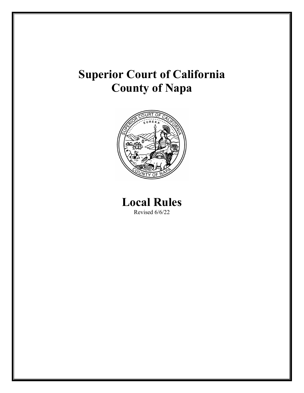# **Superior Court of California County of Napa**



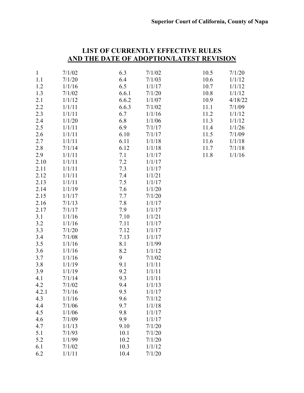|              |        | <u>AND THE DATE OF ADOPTION/LATEST REVISION</u> |        |      |         |
|--------------|--------|-------------------------------------------------|--------|------|---------|
|              |        |                                                 |        |      |         |
| $\mathbf{1}$ | 7/1/02 | 6.3                                             | 7/1/02 | 10.5 | 7/1/20  |
| 1.1          | 7/1/20 | 6.4                                             | 7/1/03 | 10.6 | 1/1/12  |
| 1.2          | 1/1/16 | 6.5                                             | 1/1/17 | 10.7 | 1/1/12  |
| 1.3          | 7/1/02 | 6.6.1                                           | 7/1/20 | 10.8 | 1/1/12  |
| 2.1          | 1/1/12 | 6.6.2                                           | 1/1/07 | 10.9 | 4/18/22 |
| 2.2          | 1/1/11 | 6.6.3                                           | 7/1/02 | 11.1 | 7/1/09  |
| 2.3          | 1/1/11 | 6.7                                             | 1/1/16 | 11.2 | 1/1/12  |
| 2.4          | 1/1/20 | 6.8                                             | 1/1/06 | 11.3 | 1/1/12  |
| 2.5          | 1/1/11 | 6.9                                             | 7/1/17 | 11.4 | 1/1/26  |
| 2.6          | 1/1/11 | 6.10                                            | 7/1/17 | 11.5 | 7/1/09  |
| 2.7          | 1/1/11 | 6.11                                            | 1/1/18 | 11.6 | 1/1/18  |
| 2.8          | 7/1/14 | 6.12                                            | 1/1/18 | 11.7 | 7/1/18  |
| 2.9          | 1/1/11 | 7.1                                             | 1/1/17 | 11.8 | 1/1/16  |
| 2.10         | 1/1/11 | 7.2                                             | 1/1/17 |      |         |
| 2.11         | 1/1/11 | 7.3                                             | 1/1/17 |      |         |
| 2.12         | 1/1/11 | 7.4                                             | 1/1/21 |      |         |
| 2.13         | 1/1/11 | 7.5                                             | 1/1/17 |      |         |
| 2.14         | 1/1/19 | 7.6                                             | 1/1/20 |      |         |
| 2.15         | 1/1/17 | 7.7                                             | 7/1/20 |      |         |
| 2.16         | 7/1/13 | 7.8                                             | 1/1/17 |      |         |
| 2.17         | 7/1/17 | 7.9                                             | 1/1/17 |      |         |
| 3.1          | 1/1/16 | 7.10                                            | 1/1/21 |      |         |
| 3.2          | 1/1/16 | 7.11                                            | 1/1/17 |      |         |
| 3.3          | 7/1/20 | 7.12                                            | 1/1/17 |      |         |
| 3.4          | 7/1/08 | 7.13                                            | 1/1/17 |      |         |
| 3.5          | 1/1/16 | 8.1                                             | 1/1/99 |      |         |
| 3.6          | 1/1/16 | 8.2                                             | 1/1/12 |      |         |
| 3.7          | 1/1/16 | 9                                               | 7/1/02 |      |         |
| 3.8          | 1/1/19 | 9.1                                             | 1/1/11 |      |         |
| 3.9          | 1/1/19 | 9.2                                             | 1/1/11 |      |         |
| 4.1          | 7/1/14 | 9.3                                             | 1/1/11 |      |         |
| 4.2          | 7/1/02 | 9.4                                             | 1/1/13 |      |         |
| 4.2.1        | 7/1/16 | 9.5                                             | 1/1/17 |      |         |
| 4.3          | 1/1/16 | 9.6                                             | 7/1/12 |      |         |
| 4.4          | 7/1/06 | 9.7                                             | 1/1/18 |      |         |
| 4.5          | 1/1/06 | 9.8                                             | 1/1/17 |      |         |
| 4.6          | 7/1/09 | 9.9                                             | 1/1/17 |      |         |
| 4.7          | 1/1/13 | 9.10                                            | 7/1/20 |      |         |
| 5.1          | 7/1/93 | 10.1                                            | 7/1/20 |      |         |
| 5.2          | 1/1/99 | 10.2                                            | 7/1/20 |      |         |
| 6.1          | 7/1/02 | 10.3                                            | 1/1/12 |      |         |
| 6.2          | 1/1/11 | 10.4                                            | 7/1/20 |      |         |
|              |        |                                                 |        |      |         |

## **LIST OF CURRENTLY EFFECTIVE RULES AND THE DATE OF ADOPTION/LATEST REVISION**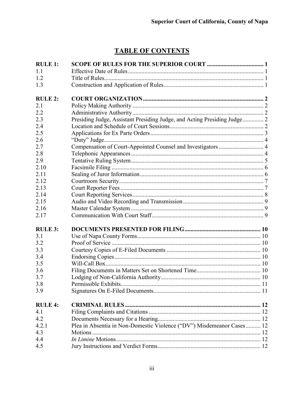## **TABLE OF CONTENTS**

| <b>RULE 1:</b> |                                                                          |  |
|----------------|--------------------------------------------------------------------------|--|
| 1.1            |                                                                          |  |
| 1.2            |                                                                          |  |
| 1.3            |                                                                          |  |
| <b>RULE 2:</b> |                                                                          |  |
| 2.1            |                                                                          |  |
| 2.2            |                                                                          |  |
| 2.3            | Presiding Judge, Assistant Presiding Judge, and Acting Presiding Judge 2 |  |
| 2.4            |                                                                          |  |
| 2.5            |                                                                          |  |
| 2.6            |                                                                          |  |
| 2.7            | Compensation of Court-Appointed Counsel and Investigators  4             |  |
| 2.8            |                                                                          |  |
| 2.9            |                                                                          |  |
| 2.10           |                                                                          |  |
| 2.11           |                                                                          |  |
| 2.12           |                                                                          |  |
| 2.13           |                                                                          |  |
| 2.14           |                                                                          |  |
| 2.15           |                                                                          |  |
| 2.16           |                                                                          |  |
| 2.17           |                                                                          |  |
| <b>RULE 3:</b> |                                                                          |  |
| 3.1            |                                                                          |  |
| 3.2            |                                                                          |  |
| 3.3            |                                                                          |  |
| 3.4            |                                                                          |  |
| 3.5            |                                                                          |  |
| 3.6            |                                                                          |  |
| 3.7            |                                                                          |  |
| 3.8            |                                                                          |  |
| 3.9            |                                                                          |  |
| <b>RULE 4:</b> |                                                                          |  |
| 4.1            |                                                                          |  |
| 4.2            |                                                                          |  |
| 4.2.1          | Plea in Absentia in Non-Domestic Violence ("DV") Misdemeanor Cases 12    |  |
| 4.3            |                                                                          |  |
| 4.4            |                                                                          |  |
| 4.5            |                                                                          |  |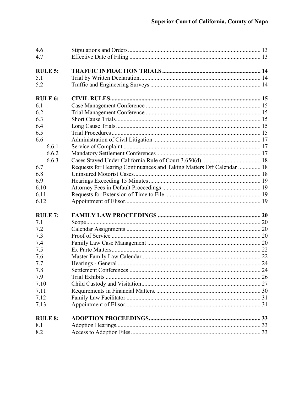| 4.6            |                                                                       |  |
|----------------|-----------------------------------------------------------------------|--|
| 4.7            |                                                                       |  |
|                |                                                                       |  |
| <b>RULE 5:</b> |                                                                       |  |
| 5.1            |                                                                       |  |
| 5.2            |                                                                       |  |
|                |                                                                       |  |
| <b>RULE 6:</b> |                                                                       |  |
| 6.1            |                                                                       |  |
| 6.2            |                                                                       |  |
| 6.3            |                                                                       |  |
| 6.4            |                                                                       |  |
| 6.5            |                                                                       |  |
| 6.6            |                                                                       |  |
| 6.6.1          |                                                                       |  |
| 6.6.2          |                                                                       |  |
| 6.6.3          |                                                                       |  |
| 6.7            | Requests for Hearing Continuances and Taking Matters Off Calendar  18 |  |
| 6.8            |                                                                       |  |
| 6.9            |                                                                       |  |
| 6.10           |                                                                       |  |
| 6.11           |                                                                       |  |
|                |                                                                       |  |
| 6.12           |                                                                       |  |
| <b>RULE 7:</b> |                                                                       |  |
| 7.1            |                                                                       |  |
| 7.2            |                                                                       |  |
| 7.3            |                                                                       |  |
| 7.4            |                                                                       |  |
| 7.5            |                                                                       |  |
|                |                                                                       |  |
| 7.6            |                                                                       |  |
| 7.7            |                                                                       |  |
| 7.8            |                                                                       |  |
| 7.9            |                                                                       |  |
| 7.10           |                                                                       |  |
| 7.11           |                                                                       |  |
| 7.12           |                                                                       |  |
| 7.13           |                                                                       |  |
| <b>RULE 8:</b> |                                                                       |  |
| 8.1            |                                                                       |  |
| 8.2            |                                                                       |  |
|                |                                                                       |  |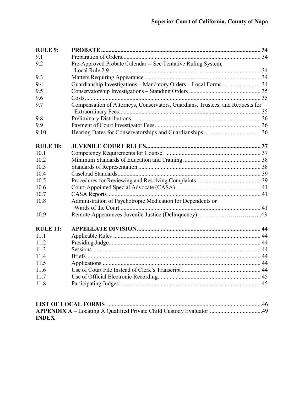| <b>RULE 9:</b>  |                                                                                |  |
|-----------------|--------------------------------------------------------------------------------|--|
| 9.1             |                                                                                |  |
| 9.2             | Pre-Approved Probate Calendar -- See Tentative Ruling System,                  |  |
|                 |                                                                                |  |
| 9.3             |                                                                                |  |
| 9.4             | Guardianship Investigations - Mandatory Orders - Local Forms 34                |  |
| 9.5             |                                                                                |  |
| 9.6             |                                                                                |  |
| 9.7             | Compensation of Attorneys, Conservators, Guardians, Trustees, and Requests for |  |
| 9.8             |                                                                                |  |
| 9.9             |                                                                                |  |
| 9.10            |                                                                                |  |
| <b>RULE 10:</b> |                                                                                |  |
| 10.1            |                                                                                |  |
| 10.2            |                                                                                |  |
| 10.3            |                                                                                |  |
| 10.4            |                                                                                |  |
| 10.5            |                                                                                |  |
| 10.6            |                                                                                |  |
| 10.7            |                                                                                |  |
| 10.8            | Administration of Psychotropic Medication for Dependents or                    |  |
| 10.9            |                                                                                |  |
| <b>RULE 11:</b> |                                                                                |  |
| 11.1            |                                                                                |  |
| 11.2            |                                                                                |  |
| 11.3            |                                                                                |  |
| 11.4            |                                                                                |  |
| 11.5            |                                                                                |  |
| 11.6            |                                                                                |  |
| 11.7            |                                                                                |  |
| 11.8            |                                                                                |  |
|                 |                                                                                |  |
|                 |                                                                                |  |

| APPENDIX A - Locating A Qualified Private Child Custody Evaluator 49 |  |
|----------------------------------------------------------------------|--|
| <b>INDEX</b>                                                         |  |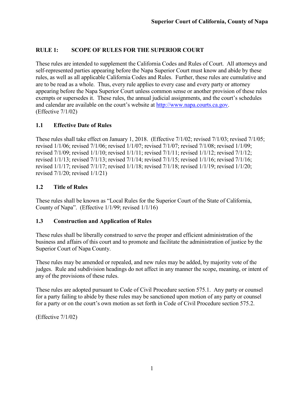## <span id="page-5-0"></span>**RULE 1: SCOPE OF RULES FOR THE SUPERIOR COURT**

These rules are intended to supplement the California Codes and Rules of Court. All attorneys and self-represented parties appearing before the Napa Superior Court must know and abide by these rules, as well as all applicable California Codes and Rules. Further, these rules are cumulative and are to be read as a whole. Thus, every rule applies to every case and every party or attorney appearing before the Napa Superior Court unless common sense or another provision of these rules exempts or supersedes it. These rules, the annual judicial assignments, and the court's schedules and calendar are available on the court's website at [http://www.napa.courts.ca.gov.](http://www.napa.courts.ca.gov/) (Effective 7/1/02)

## <span id="page-5-1"></span>**1.1 Effective Date of Rules**

These rules shall take effect on January 1, 2018. (Effective 7/1/02; revised 7/1/03; revised 7/1/05; revised 1/1/06; revised 7/1/06; revised 1/1/07; revised 7/1/07; revised 7/1/08; revised 1/1/09; revised 7/1/09; revised 1/1/10; revised 1/1/11; revised 7/1/11; revised 1/1/12; revised 7/1/12; revised 1/1/13; revised 7/1/13; revised 7/1/14; revised 7/1/15; revised 1/1/16; revised 7/1/16; revised 1/1/17; revised 7/1/17; revised 1/1/18; revised 7/1/18; revised 1/1/19; revised 1/1/20; revised 7/1/20; revised 1/1/21)

#### <span id="page-5-2"></span>**1.2 Title of Rules**

These rules shall be known as "Local Rules for the Superior Court of the State of California, County of Napa". (Effective 1/1/99; revised 1/1/16)

#### <span id="page-5-3"></span>**1.3 Construction and Application of Rules**

These rules shall be liberally construed to serve the proper and efficient administration of the business and affairs of this court and to promote and facilitate the administration of justice by the Superior Court of Napa County.

These rules may be amended or repealed, and new rules may be added, by majority vote of the judges. Rule and subdivision headings do not affect in any manner the scope, meaning, or intent of any of the provisions of these rules.

These rules are adopted pursuant to Code of Civil Procedure section 575.1. Any party or counsel for a party failing to abide by these rules may be sanctioned upon motion of any party or counsel for a party or on the court's own motion as set forth in Code of Civil Procedure section 575.2.

(Effective 7/1/02)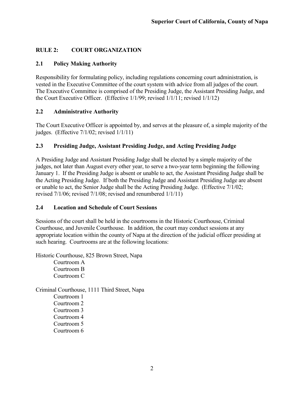## <span id="page-6-0"></span>**RULE 2: COURT ORGANIZATION**

## <span id="page-6-1"></span>**2.1 Policy Making Authority**

Responsibility for formulating policy, including regulations concerning court administration, is vested in the Executive Committee of the court system with advice from all judges of the court. The Executive Committee is comprised of the Presiding Judge, the Assistant Presiding Judge, and the Court Executive Officer. (Effective 1/1/99; revised 1/1/11; revised 1/1/12)

## <span id="page-6-2"></span>**2.2 Administrative Authority**

The Court Executive Officer is appointed by, and serves at the pleasure of, a simple majority of the judges. (Effective 7/1/02; revised 1/1/11)

## <span id="page-6-3"></span>**2.3 Presiding Judge, Assistant Presiding Judge, and Acting Presiding Judge**

A Presiding Judge and Assistant Presiding Judge shall be elected by a simple majority of the judges, not later than August every other year, to serve a two-year term beginning the following January 1. If the Presiding Judge is absent or unable to act, the Assistant Presiding Judge shall be the Acting Presiding Judge. If both the Presiding Judge and Assistant Presiding Judge are absent or unable to act, the Senior Judge shall be the Acting Presiding Judge. (Effective 7/1/02; revised 7/1/06; revised 7/1/08; revised and renumbered 1/1/11)

## <span id="page-6-4"></span>**2.4 Location and Schedule of Court Sessions**

Sessions of the court shall be held in the courtrooms in the Historic Courthouse, Criminal Courthouse, and Juvenile Courthouse. In addition, the court may conduct sessions at any appropriate location within the county of Napa at the direction of the judicial officer presiding at such hearing. Courtrooms are at the following locations:

Historic Courthouse, 825 Brown Street, Napa

Courtroom A Courtroom B Courtroom C

Criminal Courthouse, 1111 Third Street, Napa Courtroom 1 Courtroom 2 Courtroom 3 Courtroom 4 Courtroom 5

Courtroom 6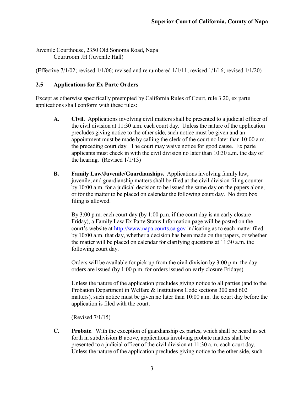Juvenile Courthouse, 2350 Old Sonoma Road, Napa Courtroom JH (Juvenile Hall)

(Effective 7/1/02; revised 1/1/06; revised and renumbered 1/1/11; revised 1/1/16; revised 1/1/20)

## <span id="page-7-0"></span>**2.5 Applications for Ex Parte Orders**

Except as otherwise specifically preempted by California Rules of Court, rule 3.20, ex parte applications shall conform with these rules:

- **A. Civil.** Applications involving civil matters shall be presented to a judicial officer of the civil division at 11:30 a.m. each court day. Unless the nature of the application precludes giving notice to the other side, such notice must be given and an appointment must be made by calling the clerk of the court no later than 10:00 a.m. the preceding court day. The court may waive notice for good cause. Ex parte applicants must check in with the civil division no later than 10:30 a.m. the day of the hearing. (Revised 1/1/13)
- **B. Family Law/Juvenile/Guardianships.** Applications involving family law, juvenile, and guardianship matters shall be filed at the civil division filing counter by 10:00 a.m. for a judicial decision to be issued the same day on the papers alone, or for the matter to be placed on calendar the following court day. No drop box filing is allowed.

By 3:00 p.m. each court day (by 1:00 p.m. if the court day is an early closure Friday), a Family Law Ex Parte Status Information page will be posted on the court's website at [http://www.napa.courts.ca.gov](http://www.napa.courts.ca.gov/) indicating as to each matter filed by 10:00 a.m. that day, whether a decision has been made on the papers, or whether the matter will be placed on calendar for clarifying questions at 11:30 a.m. the following court day.

Orders will be available for pick up from the civil division by 3:00 p.m. the day orders are issued (by 1:00 p.m. for orders issued on early closure Fridays).

Unless the nature of the application precludes giving notice to all parties (and to the Probation Department in Welfare & Institutions Code sections 300 and 602 matters), such notice must be given no later than 10:00 a.m. the court day before the application is filed with the court.

(Revised 7/1/15)

**C. Probate**. With the exception of guardianship ex partes, which shall be heard as set forth in subdivision B above, applications involving probate matters shall be presented to a judicial officer of the civil division at 11:30 a.m. each court day. Unless the nature of the application precludes giving notice to the other side, such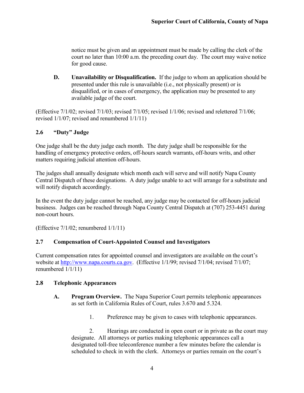notice must be given and an appointment must be made by calling the clerk of the court no later than 10:00 a.m. the preceding court day. The court may waive notice for good cause.

**D. Unavailability or Disqualification.** If the judge to whom an application should be presented under this rule is unavailable (i.e., not physically present) or is disqualified, or in cases of emergency, the application may be presented to any available judge of the court.

(Effective 7/1/02; revised 7/1/03; revised 7/1/05; revised 1/1/06; revised and relettered 7/1/06; revised 1/1/07; revised and renumbered 1/1/11)

## <span id="page-8-0"></span>**2.6 "Duty" Judge**

One judge shall be the duty judge each month. The duty judge shall be responsible for the handling of emergency protective orders, off-hours search warrants, off-hours writs, and other matters requiring judicial attention off-hours.

The judges shall annually designate which month each will serve and will notify Napa County Central Dispatch of these designations. A duty judge unable to act will arrange for a substitute and will notify dispatch accordingly.

In the event the duty judge cannot be reached, any judge may be contacted for off-hours judicial business. Judges can be reached through Napa County Central Dispatch at (707) 253-4451 during non-court hours.

(Effective 7/1/02; renumbered 1/1/11)

#### <span id="page-8-1"></span>**2.7 Compensation of Court-Appointed Counsel and Investigators**

Current compensation rates for appointed counsel and investigators are available on the court's website at [http://www.napa.courts.ca.gov.](http://www.napa.courts.ca.gov/) (Effective 1/1/99; revised 7/1/04; revised 7/1/07; renumbered 1/1/11)

#### <span id="page-8-2"></span>**2.8 Telephonic Appearances**

- **A. Program Overview.** The Napa Superior Court permits telephonic appearances as set forth in California Rules of Court, rules 3.670 and 5.324.
	- 1. Preference may be given to cases with telephonic appearances.

2. Hearings are conducted in open court or in private as the court may designate. All attorneys or parties making telephonic appearances call a designated toll-free teleconference number a few minutes before the calendar is scheduled to check in with the clerk. Attorneys or parties remain on the court's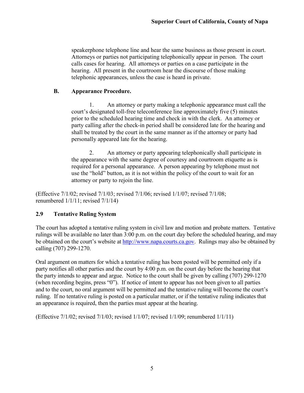speakerphone telephone line and hear the same business as those present in court. Attorneys or parties not participating telephonically appear in person. The court calls cases for hearing. All attorneys or parties on a case participate in the hearing. All present in the courtroom hear the discourse of those making telephonic appearances, unless the case is heard in private.

#### **B. Appearance Procedure.**

1. An attorney or party making a telephonic appearance must call the court's designated toll-free teleconference line approximately five (5) minutes prior to the scheduled hearing time and check in with the clerk. An attorney or party calling after the check-in period shall be considered late for the hearing and shall be treated by the court in the same manner as if the attorney or party had personally appeared late for the hearing.

2. An attorney or party appearing telephonically shall participate in the appearance with the same degree of courtesy and courtroom etiquette as is required for a personal appearance. A person appearing by telephone must not use the "hold" button, as it is not within the policy of the court to wait for an attorney or party to rejoin the line.

(Effective 7/1/02; revised 7/1/03; revised 7/1/06; revised 1/1/07; revised 7/1/08; renumbered 1/1/11; revised 7/1/14)

## <span id="page-9-0"></span>**2.9 Tentative Ruling System**

The court has adopted a tentative ruling system in civil law and motion and probate matters. Tentative rulings will be available no later than 3:00 p.m. on the court day before the scheduled hearing, and may be obtained on the court's website at [http://www.napa.courts.ca.gov.](http://www.napa.courts.ca.gov/) Rulings may also be obtained by calling (707) 299-1270.

Oral argument on matters for which a tentative ruling has been posted will be permitted only if a party notifies all other parties and the court by 4:00 p.m. on the court day before the hearing that the party intends to appear and argue. Notice to the court shall be given by calling (707) 299-1270 (when recording begins, press "0"). If notice of intent to appear has not been given to all parties and to the court, no oral argument will be permitted and the tentative ruling will become the court's ruling. If no tentative ruling is posted on a particular matter, or if the tentative ruling indicates that an appearance is required, then the parties must appear at the hearing.

(Effective 7/1/02; revised 7/1/03; revised 1/1/07; revised 1/1/09; renumbered 1/1/11)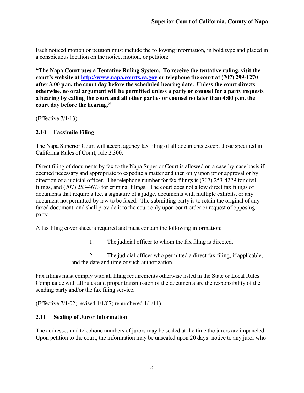Each noticed motion or petition must include the following information, in bold type and placed in a conspicuous location on the notice, motion, or petition:

**"The Napa Court uses a Tentative Ruling System. To receive the tentative ruling, visit the court's website at [http://www.napa.courts.ca.gov](http://www.napa.courts.ca.gov/) or telephone the court at (707) 299-1270 after 3:00 p.m. the court day before the scheduled hearing date. Unless the court directs otherwise, no oral argument will be permitted unless a party or counsel for a party requests a hearing by calling the court and all other parties or counsel no later than 4:00 p.m. the court day before the hearing."**

(Effective 7/1/13)

## <span id="page-10-0"></span>**2.10 Facsimile Filing**

The Napa Superior Court will accept agency fax filing of all documents except those specified in California Rules of Court, rule 2.300.

Direct filing of documents by fax to the Napa Superior Court is allowed on a case-by-case basis if deemed necessary and appropriate to expedite a matter and then only upon prior approval or by direction of a judicial officer. The telephone number for fax filings is (707) 253-4229 for civil filings, and (707) 253-4673 for criminal filings. The court does not allow direct fax filings of documents that require a fee, a signature of a judge, documents with multiple exhibits, or any document not permitted by law to be faxed. The submitting party is to retain the original of any faxed document, and shall provide it to the court only upon court order or request of opposing party.

A fax filing cover sheet is required and must contain the following information:

1. The judicial officer to whom the fax filing is directed.

2. The judicial officer who permitted a direct fax filing, if applicable, and the date and time of such authorization.

Fax filings must comply with all filing requirements otherwise listed in the State or Local Rules. Compliance with all rules and proper transmission of the documents are the responsibility of the sending party and/or the fax filing service.

(Effective 7/1/02; revised 1/1/07; renumbered 1/1/11)

#### <span id="page-10-1"></span>**2.11 Sealing of Juror Information**

The addresses and telephone numbers of jurors may be sealed at the time the jurors are impaneled. Upon petition to the court, the information may be unsealed upon 20 days' notice to any juror who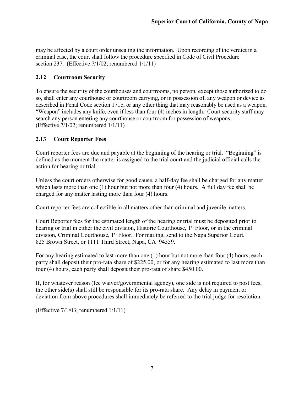may be affected by a court order unsealing the information. Upon recording of the verdict in a criminal case, the court shall follow the procedure specified in Code of Civil Procedure section 237. (Effective 7/1/02; renumbered 1/1/11)

## <span id="page-11-0"></span>**2.12 Courtroom Security**

To ensure the security of the courthouses and courtrooms, no person, except those authorized to do so, shall enter any courthouse or courtroom carrying, or in possession of, any weapon or device as described in Penal Code section 171b, or any other thing that may reasonably be used as a weapon. "Weapon" includes any knife, even if less than four (4) inches in length. Court security staff may search any person entering any courthouse or courtroom for possession of weapons. (Effective 7/1/02; renumbered 1/1/11)

## <span id="page-11-1"></span>**2.13 Court Reporter Fees**

Court reporter fees are due and payable at the beginning of the hearing or trial. "Beginning" is defined as the moment the matter is assigned to the trial court and the judicial official calls the action for hearing or trial.

Unless the court orders otherwise for good cause, a half-day fee shall be charged for any matter which lasts more than one (1) hour but not more than four (4) hours. A full day fee shall be charged for any matter lasting more than four (4) hours.

Court reporter fees are collectible in all matters other than criminal and juvenile matters.

Court Reporter fees for the estimated length of the hearing or trial must be deposited prior to hearing or trial in either the civil division, Historic Courthouse, 1<sup>st</sup> Floor, or in the criminal division, Criminal Courthouse, 1<sup>st</sup> Floor. For mailing, send to the Napa Superior Court, 825 Brown Street, or 1111 Third Street, Napa, CA 94559.

For any hearing estimated to last more than one (1) hour but not more than four (4) hours, each party shall deposit their pro-rata share of \$225.00, or for any hearing estimated to last more than four (4) hours, each party shall deposit their pro-rata of share \$450.00.

If, for whatever reason (fee waiver/governmental agency), one side is not required to post fees, the other side(s) shall still be responsible for its pro-rata share. Any delay in payment or deviation from above procedures shall immediately be referred to the trial judge for resolution.

(Effective 7/1/03; renumbered 1/1/11)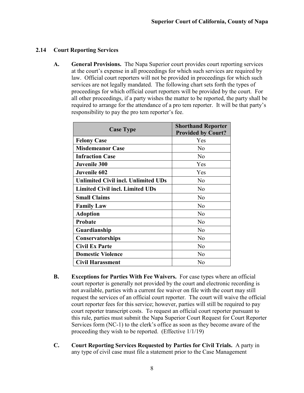## <span id="page-12-0"></span>**2.14 Court Reporting Services**

**A. General Provisions.** The Napa Superior court provides court reporting services at the court's expense in all proceedings for which such services are required by law. Official court reporters will not be provided in proceedings for which such services are not legally mandated. The following chart sets forth the types of proceedings for which official court reporters will be provided by the court. For all other proceedings, if a party wishes the matter to be reported, the party shall be required to arrange for the attendance of a pro tem reporter. It will be that party's responsibility to pay the pro tem reporter's fee.

| <b>Case Type</b>                           | <b>Shorthand Reporter</b> |
|--------------------------------------------|---------------------------|
|                                            | <b>Provided by Court?</b> |
| <b>Felony Case</b>                         | Yes                       |
| <b>Misdemeanor Case</b>                    | N <sub>0</sub>            |
| <b>Infraction Case</b>                     | N <sub>o</sub>            |
| <b>Juvenile 300</b>                        | Yes                       |
| <b>Juvenile 602</b>                        | Yes                       |
| <b>Unlimited Civil incl. Unlimited UDs</b> | N <sub>o</sub>            |
| <b>Limited Civil incl. Limited UDs</b>     | N <sub>o</sub>            |
| <b>Small Claims</b>                        | No                        |
| <b>Family Law</b>                          | N <sub>0</sub>            |
| <b>Adoption</b>                            | N <sub>o</sub>            |
| Probate                                    | No                        |
| Guardianship                               | N <sub>0</sub>            |
| Conservatorships                           | N <sub>o</sub>            |
| <b>Civil Ex Parte</b>                      | N <sub>o</sub>            |
| <b>Domestic Violence</b>                   | No                        |
| <b>Civil Harassment</b>                    | No                        |

- **B. Exceptions for Parties With Fee Waivers.** For case types where an official court reporter is generally not provided by the court and electronic recording is not available, parties with a current fee waiver on file with the court may still request the services of an official court reporter. The court will waive the official court reporter fees for this service; however, parties will still be required to pay court reporter transcript costs. To request an official court reporter pursuant to this rule, parties must submit the Napa Superior Court Request for Court Reporter Services form (NC-1) to the clerk's office as soon as they become aware of the proceeding they wish to be reported. (Effective 1/1/19)
- **C. Court Reporting Services Requested by Parties for Civil Trials.** A party in any type of civil case must file a statement prior to the Case Management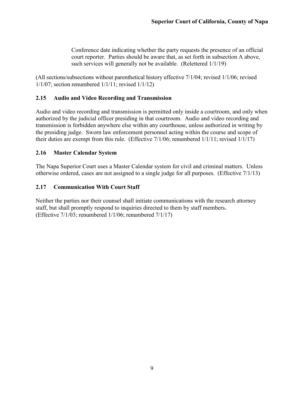Conference date indicating whether the party requests the presence of an official court reporter. Parties should be aware that, as set forth in subsection A above, such services will generally not be available. (Relettered 1/1/19)

(All sections/subsections without parenthetical history effective 7/1/04; revised 1/1/06; revised 1/1/07; section renumbered 1/1/11; revised 1/1/12)

#### <span id="page-13-0"></span>**2.15 Audio and Video Recording and Transmission**

Audio and video recording and transmission is permitted only inside a courtroom, and only when authorized by the judicial officer presiding in that courtroom. Audio and video recording and transmission is forbidden anywhere else within any courthouse, unless authorized in writing by the presiding judge. Sworn law enforcement personnel acting within the course and scope of their duties are exempt from this rule. (Effective 7/1/06; renumbered 1/1/11; revised 1/1/17)

## <span id="page-13-1"></span>**2.16 Master Calendar System**

The Napa Superior Court uses a Master Calendar system for civil and criminal matters. Unless otherwise ordered, cases are not assigned to a single judge for all purposes. (Effective 7/1/13)

## <span id="page-13-2"></span>**2.17 Communication With Court Staff**

Neither the parties nor their counsel shall initiate communications with the research attorney staff, but shall promptly respond to inquiries directed to them by staff members. (Effective 7/1/03; renumbered 1/1/06; renumbered 7/1/17)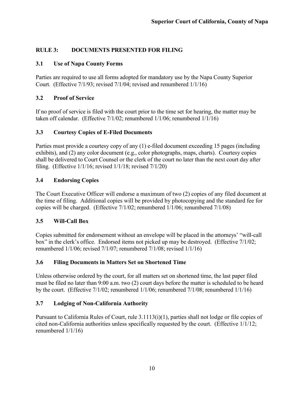## <span id="page-14-0"></span>**RULE 3: DOCUMENTS PRESENTED FOR FILING**

## <span id="page-14-1"></span>**3.1 Use of Napa County Forms**

Parties are required to use all forms adopted for mandatory use by the Napa County Superior Court. (Effective 7/1/93; revised 7/1/04; revised and renumbered 1/1/16)

## <span id="page-14-2"></span>**3.2 Proof of Service**

If no proof of service is filed with the court prior to the time set for hearing, the matter may be taken off calendar. (Effective 7/1/02; renumbered 1/1/06; renumbered 1/1/16)

## <span id="page-14-3"></span>**3.3 Courtesy Copies of E-Filed Documents**

Parties must provide a courtesy copy of any (1) e-filed document exceeding 15 pages (including exhibits), and (2) any color document (e.g., color photographs, maps, charts). Courtesy copies shall be delivered to Court Counsel or the clerk of the court no later than the next court day after filing. (Effective 1/1/16; revised 1/1/18; revised 7/1/20)

## <span id="page-14-4"></span>**3.4 Endorsing Copies**

The Court Executive Officer will endorse a maximum of two (2) copies of any filed document at the time of filing. Additional copies will be provided by photocopying and the standard fee for copies will be charged. (Effective 7/1/02; renumbered 1/1/06; renumbered 7/1/08)

## <span id="page-14-5"></span>**3.5 Will-Call Box**

Copies submitted for endorsement without an envelope will be placed in the attorneys' "will-call box" in the clerk's office. Endorsed items not picked up may be destroyed. (Effective 7/1/02; renumbered 1/1/06; revised 7/1/07; renumbered 7/1/08; revised 1/1/16)

## <span id="page-14-6"></span>**3.6 Filing Documents in Matters Set on Shortened Time**

Unless otherwise ordered by the court, for all matters set on shortened time, the last paper filed must be filed no later than 9:00 a.m. two (2) court days before the matter is scheduled to be heard by the court. (Effective 7/1/02; renumbered 1/1/06; renumbered 7/1/08; renumbered 1/1/16)

## <span id="page-14-7"></span>**3.7 Lodging of Non-California Authority**

Pursuant to California Rules of Court, rule 3.1113(i)(1), parties shall not lodge or file copies of cited non-California authorities unless specifically requested by the court. (Effective 1/1/12; renumbered 1/1/16)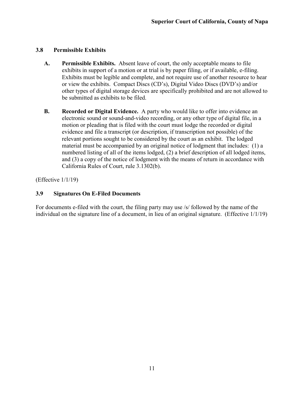#### <span id="page-15-0"></span>**3.8 Permissible Exhibits**

- **A. Permissible Exhibits.** Absent leave of court, the only acceptable means to file exhibits in support of a motion or at trial is by paper filing, or if available, e-filing. Exhibits must be legible and complete, and not require use of another resource to hear or view the exhibits. Compact Discs (CD's), Digital Video Discs (DVD's) and/or other types of digital storage devices are specifically prohibited and are not allowed to be submitted as exhibits to be filed.
- **B. Recorded or Digital Evidence.** A party who would like to offer into evidence an electronic sound or sound-and-video recording, or any other type of digital file, in a motion or pleading that is filed with the court must lodge the recorded or digital evidence and file a transcript (or description, if transcription not possible) of the relevant portions sought to be considered by the court as an exhibit. The lodged material must be accompanied by an original notice of lodgment that includes: (1) a numbered listing of all of the items lodged, (2) a brief description of all lodged items, and (3) a copy of the notice of lodgment with the means of return in accordance with California Rules of Court, rule 3.1302(b).

(Effective 1/1/19)

## <span id="page-15-1"></span>**3.9 Signatures On E-Filed Documents**

For documents e-filed with the court, the filing party may use /s/ followed by the name of the individual on the signature line of a document, in lieu of an original signature. (Effective 1/1/19)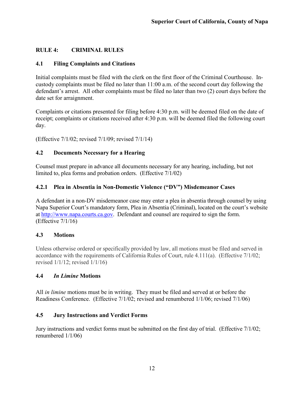## <span id="page-16-0"></span>**RULE 4: CRIMINAL RULES**

#### <span id="page-16-1"></span>**4.1 Filing Complaints and Citations**

Initial complaints must be filed with the clerk on the first floor of the Criminal Courthouse. Incustody complaints must be filed no later than 11:00 a.m. of the second court day following the defendant's arrest. All other complaints must be filed no later than two (2) court days before the date set for arraignment.

Complaints or citations presented for filing before 4:30 p.m. will be deemed filed on the date of receipt; complaints or citations received after 4:30 p.m. will be deemed filed the following court day.

(Effective 7/1/02; revised 7/1/09; revised 7/1/14)

#### <span id="page-16-2"></span>**4.2 Documents Necessary for a Hearing**

Counsel must prepare in advance all documents necessary for any hearing, including, but not limited to, plea forms and probation orders. (Effective 7/1/02)

#### <span id="page-16-3"></span>**4.2.1 Plea in Absentia in Non-Domestic Violence ("DV") Misdemeanor Cases**

A defendant in a non-DV misdemeanor case may enter a plea in absentia through counsel by using Napa Superior Court's mandatory form, Plea in Absentia (Criminal), located on the court's website at [http://www.napa.courts.ca.gov.](http://www.napa.courts.ca.gov/) Defendant and counsel are required to sign the form. (Effective 7/1/16)

#### <span id="page-16-4"></span>**4.3 Motions**

Unless otherwise ordered or specifically provided by law, all motions must be filed and served in accordance with the requirements of California Rules of Court, rule 4.111(a). (Effective 7/1/02; revised 1/1/12; revised 1/1/16)

#### <span id="page-16-5"></span>**4.4** *In Limine* **Motions**

All *in limine* motions must be in writing. They must be filed and served at or before the Readiness Conference. (Effective 7/1/02; revised and renumbered 1/1/06; revised 7/1/06)

#### <span id="page-16-6"></span>**4.5 Jury Instructions and Verdict Forms**

Jury instructions and verdict forms must be submitted on the first day of trial. (Effective 7/1/02; renumbered 1/1/06)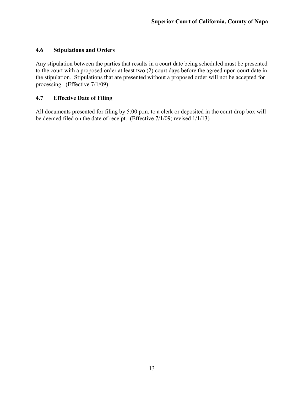#### <span id="page-17-0"></span>**4.6 Stipulations and Orders**

Any stipulation between the parties that results in a court date being scheduled must be presented to the court with a proposed order at least two (2) court days before the agreed upon court date in the stipulation. Stipulations that are presented without a proposed order will not be accepted for processing. (Effective 7/1/09)

## <span id="page-17-1"></span>**4.7 Effective Date of Filing**

All documents presented for filing by 5:00 p.m. to a clerk or deposited in the court drop box will be deemed filed on the date of receipt. (Effective 7/1/09; revised 1/1/13)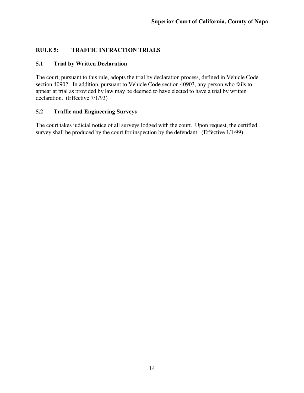## <span id="page-18-0"></span>**RULE 5: TRAFFIC INFRACTION TRIALS**

#### <span id="page-18-1"></span>**5.1 Trial by Written Declaration**

The court, pursuant to this rule, adopts the trial by declaration process, defined in Vehicle Code section 40902. In addition, pursuant to Vehicle Code section 40903, any person who fails to appear at trial as provided by law may be deemed to have elected to have a trial by written declaration. (Effective 7/1/93)

#### <span id="page-18-2"></span>**5.2 Traffic and Engineering Surveys**

The court takes judicial notice of all surveys lodged with the court. Upon request, the certified survey shall be produced by the court for inspection by the defendant. (Effective 1/1/99)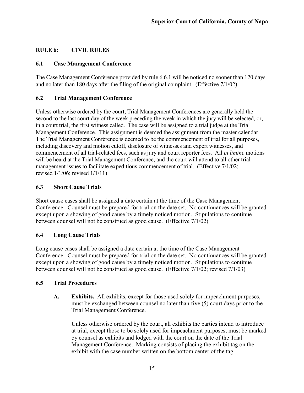## <span id="page-19-0"></span>**RULE 6: CIVIL RULES**

#### <span id="page-19-1"></span>**6.1 Case Management Conference**

The Case Management Conference provided by rule 6.6.1 will be noticed no sooner than 120 days and no later than 180 days after the filing of the original complaint. (Effective 7/1/02)

## <span id="page-19-2"></span>**6.2 Trial Management Conference**

Unless otherwise ordered by the court, Trial Management Conferences are generally held the second to the last court day of the week preceding the week in which the jury will be selected, or, in a court trial, the first witness called. The case will be assigned to a trial judge at the Trial Management Conference. This assignment is deemed the assignment from the master calendar. The Trial Management Conference is deemed to be the commencement of trial for all purposes, including discovery and motion cutoff, disclosure of witnesses and expert witnesses, and commencement of all trial-related fees, such as jury and court reporter fees. All *in limine* motions will be heard at the Trial Management Conference, and the court will attend to all other trial management issues to facilitate expeditious commencement of trial. (Effective 7/1/02; revised 1/1/06; revised 1/1/11)

## <span id="page-19-3"></span>**6.3 Short Cause Trials**

Short cause cases shall be assigned a date certain at the time of the Case Management Conference. Counsel must be prepared for trial on the date set. No continuances will be granted except upon a showing of good cause by a timely noticed motion. Stipulations to continue between counsel will not be construed as good cause. (Effective 7/1/02)

## <span id="page-19-4"></span>**6.4 Long Cause Trials**

Long cause cases shall be assigned a date certain at the time of the Case Management Conference. Counsel must be prepared for trial on the date set. No continuances will be granted except upon a showing of good cause by a timely noticed motion. Stipulations to continue between counsel will not be construed as good cause. (Effective 7/1/02; revised 7/1/03)

#### <span id="page-19-5"></span>**6.5 Trial Procedures**

**A. Exhibits.** All exhibits, except for those used solely for impeachment purposes, must be exchanged between counsel no later than five (5) court days prior to the Trial Management Conference.

Unless otherwise ordered by the court, all exhibits the parties intend to introduce at trial, except those to be solely used for impeachment purposes, must be marked by counsel as exhibits and lodged with the court on the date of the Trial Management Conference. Marking consists of placing the exhibit tag on the exhibit with the case number written on the bottom center of the tag.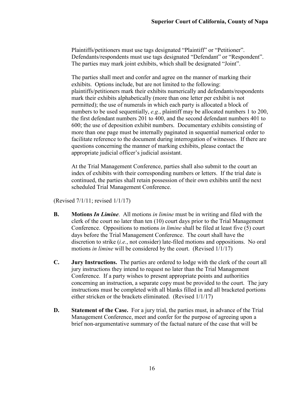Plaintiffs/petitioners must use tags designated "Plaintiff" or "Petitioner". Defendants/respondents must use tags designated "Defendant" or "Respondent". The parties may mark joint exhibits, which shall be designated "Joint".

The parties shall meet and confer and agree on the manner of marking their exhibits. Options include, but are not limited to the following: plaintiffs/petitioners mark their exhibits numerically and defendants/respondents mark their exhibits alphabetically (more than one letter per exhibit is not permitted); the use of numerals in which each party is allocated a block of numbers to be used sequentially, *e.g.*, plaintiff may be allocated numbers 1 to 200, the first defendant numbers 201 to 400, and the second defendant numbers 401 to 600; the use of deposition exhibit numbers. Documentary exhibits consisting of more than one page must be internally paginated in sequential numerical order to facilitate reference to the document during interrogation of witnesses. If there are questions concerning the manner of marking exhibits, please contact the appropriate judicial officer's judicial assistant.

At the Trial Management Conference, parties shall also submit to the court an index of exhibits with their corresponding numbers or letters. If the trial date is continued, the parties shall retain possession of their own exhibits until the next scheduled Trial Management Conference.

(Revised 7/1/11; revised 1/1/17)

- **B. Motions** *In Limine*. All motions *in limine* must be in writing and filed with the clerk of the court no later than ten (10) court days prior to the Trial Management Conference. Oppositions to motions *in limine* shall be filed at least five (5) court days before the Trial Management Conference. The court shall have the discretion to strike (*i.e.*, not consider) late-filed motions and oppositions. No oral motions *in limine* will be considered by the court. (Revised 1/1/17)
- **C. Jury Instructions.** The parties are ordered to lodge with the clerk of the court all jury instructions they intend to request no later than the Trial Management Conference. If a party wishes to present appropriate points and authorities concerning an instruction, a separate copy must be provided to the court. The jury instructions must be completed with all blanks filled in and all bracketed portions either stricken or the brackets eliminated. (Revised 1/1/17)
- **D. Statement of the Case.** For a jury trial, the parties must, in advance of the Trial Management Conference, meet and confer for the purpose of agreeing upon a brief non-argumentative summary of the factual nature of the case that will be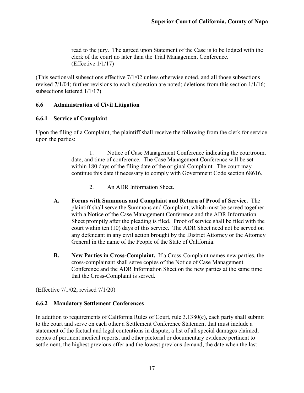read to the jury. The agreed upon Statement of the Case is to be lodged with the clerk of the court no later than the Trial Management Conference. (Effective 1/1/17)

(This section/all subsections effective 7/1/02 unless otherwise noted, and all those subsections revised 7/1/04; further revisions to each subsection are noted; deletions from this section 1/1/16; subsections lettered 1/1/17)

## <span id="page-21-0"></span>**6.6 Administration of Civil Litigation**

#### <span id="page-21-1"></span>**6.6.1 Service of Complaint**

Upon the filing of a Complaint, the plaintiff shall receive the following from the clerk for service upon the parties:

> 1. Notice of Case Management Conference indicating the courtroom, date, and time of conference. The Case Management Conference will be set within 180 days of the filing date of the original Complaint. The court may continue this date if necessary to comply with Government Code section 68616.

- 2. An ADR Information Sheet.
- **A. Forms with Summons and Complaint and Return of Proof of Service.** The plaintiff shall serve the Summons and Complaint, which must be served together with a Notice of the Case Management Conference and the ADR Information Sheet promptly after the pleading is filed. Proof of service shall be filed with the court within ten (10) days of this service. The ADR Sheet need not be served on any defendant in any civil action brought by the District Attorney or the Attorney General in the name of the People of the State of California.
- **B. New Parties in Cross-Complaint.** If a Cross-Complaint names new parties, the cross-complainant shall serve copies of the Notice of Case Management Conference and the ADR Information Sheet on the new parties at the same time that the Cross-Complaint is served.

(Effective 7/1/02; revised 7/1/20)

## <span id="page-21-2"></span>**6.6.2 Mandatory Settlement Conferences**

In addition to requirements of California Rules of Court, rule 3.1380(c), each party shall submit to the court and serve on each other a Settlement Conference Statement that must include a statement of the factual and legal contentions in dispute, a list of all special damages claimed, copies of pertinent medical reports, and other pictorial or documentary evidence pertinent to settlement, the highest previous offer and the lowest previous demand, the date when the last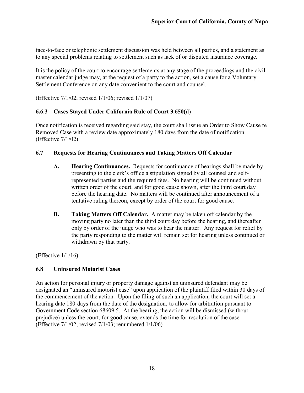face-to-face or telephonic settlement discussion was held between all parties, and a statement as to any special problems relating to settlement such as lack of or disputed insurance coverage.

It is the policy of the court to encourage settlements at any stage of the proceedings and the civil master calendar judge may, at the request of a party to the action, set a cause for a Voluntary Settlement Conference on any date convenient to the court and counsel.

(Effective 7/1/02; revised 1/1/06; revised 1/1/07)

#### <span id="page-22-0"></span>**6.6.3 Cases Stayed Under California Rule of Court 3.650(d)**

Once notification is received regarding said stay, the court shall issue an Order to Show Cause re Removed Case with a review date approximately 180 days from the date of notification. (Effective 7/1/02)

#### <span id="page-22-1"></span>**6.7 Requests for Hearing Continuances and Taking Matters Off Calendar**

- **A. Hearing Continuances.** Requests for continuance of hearings shall be made by presenting to the clerk's office a stipulation signed by all counsel and selfrepresented parties and the required fees. No hearing will be continued without written order of the court, and for good cause shown, after the third court day before the hearing date. No matters will be continued after announcement of a tentative ruling thereon, except by order of the court for good cause.
- **B. Taking Matters Off Calendar.** A matter may be taken off calendar by the moving party no later than the third court day before the hearing, and thereafter only by order of the judge who was to hear the matter. Any request for relief by the party responding to the matter will remain set for hearing unless continued or withdrawn by that party.

(Effective  $1/1/16$ )

#### <span id="page-22-2"></span>**6.8 Uninsured Motorist Cases**

An action for personal injury or property damage against an uninsured defendant may be designated an "uninsured motorist case" upon application of the plaintiff filed within 30 days of the commencement of the action. Upon the filing of such an application, the court will set a hearing date 180 days from the date of the designation, to allow for arbitration pursuant to Government Code section 68609.5. At the hearing, the action will be dismissed (without prejudice) unless the court, for good cause, extends the time for resolution of the case. (Effective 7/1/02; revised 7/1/03; renumbered 1/1/06)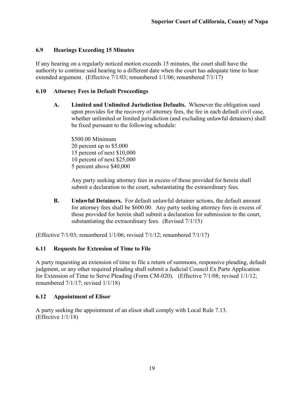## <span id="page-23-0"></span>**6.9 Hearings Exceeding 15 Minutes**

If any hearing on a regularly noticed motion exceeds 15 minutes, the court shall have the authority to continue said hearing to a different date when the court has adequate time to hear extended argument. (Effective 7/1/03; renumbered 1/1/06; renumbered 7/1/17)

#### <span id="page-23-1"></span>**6.10 Attorney Fees in Default Proceedings**

**A. Limited and Unlimited Jurisdiction Defaults.** Whenever the obligation sued upon provides for the recovery of attorney fees, the fee in each default civil case, whether unlimited or limited jurisdiction (and excluding unlawful detainers) shall be fixed pursuant to the following schedule:

\$500.00 Minimum percent up to \$5,000 percent of next \$10,000 percent of next \$25,000 percent above \$40,000

Any party seeking attorney fees in excess of those provided for herein shall submit a declaration to the court, substantiating the extraordinary fees.

**B. Unlawful Detainers.** For default unlawful detainer actions, the default amount for attorney fees shall be \$600.00. Any party seeking attorney fees in excess of those provided for herein shall submit a declaration for submission to the court, substantiating the extraordinary fees. (Revised 7/1/15)

(Effective 7/1/03; renumbered 1/1/06; revised 7/1/12; renumbered 7/1/17)

#### <span id="page-23-2"></span>**6.11 Requests for Extension of Time to File**

A party requesting an extension of time to file a return of summons, responsive pleading, default judgment, or any other required pleading shall submit a Judicial Council Ex Parte Application for Extension of Time to Serve Pleading (Form CM-020). (Effective 7/1/08; revised 1/1/12; renumbered 7/1/17; revised 1/1/18)

#### <span id="page-23-3"></span>**6.12 Appointment of Elisor**

A party seeking the appointment of an elisor shall comply with Local Rule 7.13. (Effective 1/1/18)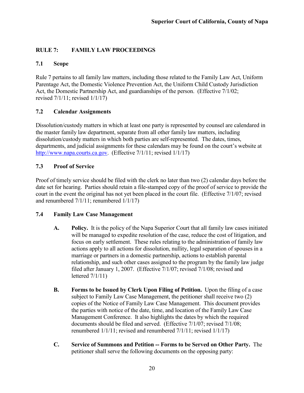## <span id="page-24-0"></span>**RULE 7: FAMILY LAW PROCEEDINGS**

## <span id="page-24-1"></span>**7.1 Scope**

Rule 7 pertains to all family law matters, including those related to the Family Law Act, Uniform Parentage Act, the Domestic Violence Prevention Act, the Uniform Child Custody Jurisdiction Act, the Domestic Partnership Act, and guardianships of the person. (Effective 7/1/02; revised 7/1/11; revised 1/1/17)

## <span id="page-24-2"></span>**7.2 Calendar Assignments**

Dissolution/custody matters in which at least one party is represented by counsel are calendared in the master family law department, separate from all other family law matters, including dissolution/custody matters in which both parties are self-represented. The dates, times, departments, and judicial assignments for these calendars may be found on the court's website at [http://www.napa.courts.ca.gov.](http://www.napa.courts.ca.gov/) (Effective 7/1/11; revised 1/1/17)

## <span id="page-24-3"></span>**7.3 Proof of Service**

Proof of timely service should be filed with the clerk no later than two (2) calendar days before the date set for hearing. Parties should retain a file-stamped copy of the proof of service to provide the court in the event the original has not yet been placed in the court file. (Effective 7/1/07; revised and renumbered 7/1/11; renumbered 1/1/17)

#### <span id="page-24-4"></span>**7.4 Family Law Case Management**

- **A. Policy.** It is the policy of the Napa Superior Court that all family law cases initiated will be managed to expedite resolution of the case, reduce the cost of litigation, and focus on early settlement. These rules relating to the administration of family law actions apply to all actions for dissolution, nullity, legal separation of spouses in a marriage or partners in a domestic partnership, actions to establish parental relationship, and such other cases assigned to the program by the family law judge filed after January 1, 2007. (Effective 7/1/07; revised 7/1/08; revised and lettered 7/1/11)
- **B. Forms to be Issued by Clerk Upon Filing of Petition.** Upon the filing of a case subject to Family Law Case Management, the petitioner shall receive two (2) copies of the Notice of Family Law Case Management. This document provides the parties with notice of the date, time, and location of the Family Law Case Management Conference. It also highlights the dates by which the required documents should be filed and served. (Effective 7/1/07; revised 7/1/08; renumbered 1/1/11; revised and renumbered 7/1/11; revised 1/1/17)
- **C. Service of Summons and Petition -- Forms to be Served on Other Party.** The petitioner shall serve the following documents on the opposing party: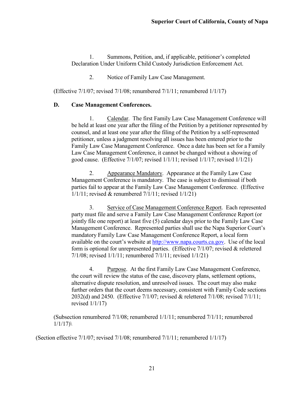1. Summons, Petition, and, if applicable, petitioner's completed Declaration Under Uniform Child Custody Jurisdiction Enforcement Act.

2. Notice of Family Law Case Management.

(Effective 7/1/07; revised 7/1/08; renumbered 7/1/11; renumbered 1/1/17)

#### **D. Case Management Conferences.**

1. Calendar. The first Family Law Case Management Conference will be held at least one year after the filing of the Petition by a petitioner represented by counsel, and at least one year after the filing of the Petition by a self-represented petitioner, unless a judgment resolving all issues has been entered prior to the Family Law Case Management Conference. Once a date has been set for a Family Law Case Management Conference, it cannot be changed without a showing of good cause. (Effective 7/1/07; revised 1/1/11; revised 1/1/17; revised 1/1/21)

2. Appearance Mandatory. Appearance at the Family Law Case Management Conference is mandatory. The case is subject to dismissal if both parties fail to appear at the Family Law Case Management Conference. (Effective 1/1/11; revised & renumbered 7/1/11; revised 1/1/21)

3. Service of Case Management Conference Report. Each represented party must file and serve a Family Law Case Management Conference Report (or jointly file one report) at least five (5) calendar days prior to the Family Law Case Management Conference. Represented parties shall use the Napa Superior Court's mandatory Family Law Case Management Conference Report, a local form available on the court's website at [http://www.napa.courts.ca.gov.](http://www.napa.courts.ca.gov/) Use of the local form is optional for unrepresented parties. (Effective 7/1/07; revised & relettered 7/1/08; revised 1/1/11; renumbered 7/1/11; revised 1/1/21)

4. Purpose. At the first Family Law Case Management Conference, the court will review the status of the case, discovery plans, settlement options, alternative dispute resolution, and unresolved issues. The court may also make further orders that the court deems necessary, consistent with Family Code sections 2032(d) and 2450. (Effective 7/1/07; revised & relettered 7/1/08; revised 7/1/11; revised 1/1/17)

(Subsection renumbered 7/1/08; renumbered 1/1/11; renumbered 7/1/11; renumbered  $1/1/17)$ 

(Section effective 7/1/07; revised 7/1/08; renumbered 7/1/11; renumbered 1/1/17)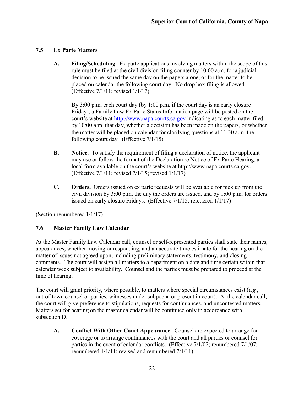## <span id="page-26-0"></span>**7.5 Ex Parte Matters**

**A. Filing/Scheduling**. Ex parte applications involving matters within the scope of this rule must be filed at the civil division filing counter by 10:00 a.m. for a judicial decision to be issued the same day on the papers alone, or for the matter to be placed on calendar the following court day. No drop box filing is allowed. (Effective 7/1/11; revised 1/1/17)

By 3:00 p.m. each court day (by 1:00 p.m. if the court day is an early closure Friday), a Family Law Ex Parte Status Information page will be posted on the court's website at [http://www.napa.courts.ca.gov](http://www.napa.courts.ca.gov/) indicating as to each matter filed by 10:00 a.m. that day, whether a decision has been made on the papers, or whether the matter will be placed on calendar for clarifying questions at 11:30 a.m. the following court day. (Effective 7/1/15)

- **B. Notice.** To satisfy the requirement of filing a declaration of notice, the applicant may use or follow the format of the Declaration re Notice of Ex Parte Hearing, a local form available on the court's website at [http://www.napa.courts.ca](http://www.napa.courts.ca/) gov. (Effective 7/1/11; revised 7/1/15; revised 1/1/17)
- **C. Orders.** Orders issued on ex parte requests will be available for pick up from the civil division by 3:00 p.m. the day the orders are issued, and by 1:00 p.m. for orders issued on early closure Fridays. (Effective 7/1/15; relettered 1/1/17)

(Section renumbered 1/1/17)

## <span id="page-26-1"></span>**7.6 Master Family Law Calendar**

At the Master Family Law Calendar call, counsel or self-represented parties shall state their names, appearances, whether moving or responding, and an accurate time estimate for the hearing on the matter of issues not agreed upon, including preliminary statements, testimony, and closing comments. The court will assign all matters to a department on a date and time certain within that calendar week subject to availability. Counsel and the parties must be prepared to proceed at the time of hearing.

The court will grant priority, where possible, to matters where special circumstances exist (*e.g.*, out-of-town counsel or parties, witnesses under subpoena or present in court). At the calendar call, the court will give preference to stipulations, requests for continuances, and uncontested matters. Matters set for hearing on the master calendar will be continued only in accordance with subsection D.

**A. Conflict With Other Court Appearance**. Counsel are expected to arrange for coverage or to arrange continuances with the court and all parties or counsel for parties in the event of calendar conflicts. (Effective 7/1/02; renumbered 7/1/07; renumbered 1/1/11; revised and renumbered 7/1/11)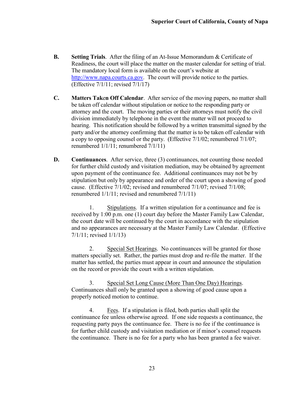- **B. Setting Trials**. After the filing of an At-Issue Memorandum & Certificate of Readiness, the court will place the matter on the master calendar for setting of trial. The mandatory local form is available on the court's website at [http://www.napa.courts.ca.gov.](http://www.napa.courts.ca.gov/) The court will provide notice to the parties. (Effective 7/1/11; revised 7/1/17)
- **C. Matters Tak**e**n Off Calendar**. After service of the moving papers, no matter shall be taken off calendar without stipulation or notice to the responding party or attorney and the court. The moving parties or their attorneys must notify the civil division immediately by telephone in the event the matter will not proceed to hearing. This notification should be followed by a written transmittal signed by the party and/or the attorney confirming that the matter is to be taken off calendar with a copy to opposing counsel or the party. (Effective 7/1/02; renumbered 7/1/07; renumbered 1/1/11; renumbered 7/1/11)
- **D. Continuances**. After service, three (3) continuances, not counting those needed for further child custody and visitation mediation, may be obtained by agreement upon payment of the continuance fee. Additional continuances may not be by stipulation but only by appearance and order of the court upon a showing of good cause. (Effective 7/1/02; revised and renumbered 7/1/07; revised 7/1/08; renumbered 1/1/11; revised and renumbered 7/1/11)

1. Stipulations. If a written stipulation for a continuance and fee is received by 1:00 p.m. one (1) court day before the Master Family Law Calendar, the court date will be continued by the court in accordance with the stipulation and no appearances are necessary at the Master Family Law Calendar. (Effective 7/1/11; revised 1/1/13)

2. Special Set Hearings. No continuances will be granted for those matters specially set. Rather, the parties must drop and re-file the matter. If the matter has settled, the parties must appear in court and announce the stipulation on the record or provide the court with a written stipulation.

3. Special Set Long Cause (More Than One Day) Hearings. Continuances shall only be granted upon a showing of good cause upon a properly noticed motion to continue.

4. Fees. If a stipulation is filed, both parties shall split the continuance fee unless otherwise agreed. If one side requests a continuance, the requesting party pays the continuance fee. There is no fee if the continuance is for further child custody and visitation mediation or if minor's counsel requests the continuance. There is no fee for a party who has been granted a fee waiver.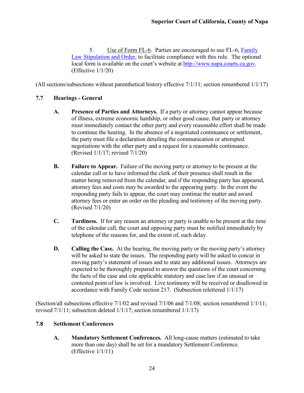5. Use of Form FL-6. Parties are encouraged to use FL-6, [Family](http://napa.courts.ca.gov/sites/default/files/pdfs/Localrules/FL-6%20Family%20Law%20Stipulation%20%28fillable%29.pdf)  [Law Stipulation and Order,](http://napa.courts.ca.gov/sites/default/files/pdfs/Localrules/FL-6%20Family%20Law%20Stipulation%20%28fillable%29.pdf) to facilitate compliance with this rule. The optional local form is available on the court's website at [http://www.napa.courts.ca.gov.](http://www.napa.courts.ca.gov/) (Effective 1/1/20)

(All sections/subsections without parenthetical history effective 7/1/11; section renumbered 1/1/17)

## <span id="page-28-0"></span>**7.7 Hearings - General**

- **A. Presence of Parties and Attorneys.** If a party or attorney cannot appear because of illness, extreme economic hardship, or other good cause, that party or attorney must immediately contact the other party and every reasonable effort shall be made to continue the hearing. In the absence of a negotiated continuance or settlement, the party must file a declaration detailing the communication or attempted negotiations with the other party and a request for a reasonable continuance. (Revised 1/1/17; revised 7/1/20)
- **B. Failure to Appear.** Failure of the moving party or attorney to be present at the calendar call or to have informed the clerk of their presence shall result in the matter being removed from the calendar, and if the responding party has appeared, attorney fees and costs may be awarded to the appearing party. In the event the responding party fails to appear, the court may continue the matter and award attorney fees or enter an order on the pleading and testimony of the moving party. (Revised 7/1/20)
- **C. Tardiness.** If for any reason an attorney or party is unable to be present at the time of the calendar call, the court and opposing party must be notified immediately by telephone of the reasons for, and the extent of, such delay.
- **D. Calling the Case.** At the hearing, the moving party or the moving party's attorney will be asked to state the issues. The responding party will be asked to concur in moving party's statement of issues and to state any additional issues. Attorneys are expected to be thoroughly prepared to answer the questions of the court concerning the facts of the case and cite applicable statutory and case law if an unusual or contested point of law is involved. Live testimony will be received or disallowed in accordance with Family Code section 217. (Subsection relettered 1/1/17)

(Section/all subsections effective 7/1/02 and revised 7/1/06 and 7/1/08; section renumbered 1/1/11; revised 7/1/11; subsection deleted 1/1/17; section renumbered 1/1/17)

#### <span id="page-28-1"></span>**7.8 Settlement Conferences**

**A. Mandatory Settlement Conferences.** All long-cause matters (estimated to take more than one day) shall be set for a mandatory Settlement Conference. (Effective 1/1/11)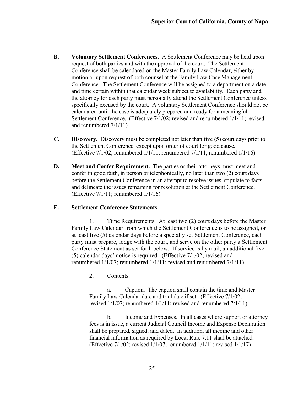- **B. Voluntary Settlement Conferences.** A Settlement Conference may be held upon request of both parties and with the approval of the court. The Settlement Conference shall be calendared on the Master Family Law Calendar, either by motion or upon request of both counsel at the Family Law Case Management Conference. The Settlement Conference will be assigned to a department on a date and time certain within that calendar week subject to availability. Each party and the attorney for each party must personally attend the Settlement Conference unless specifically excused by the court. A voluntary Settlement Conference should not be calendared until the case is adequately prepared and ready for a meaningful Settlement Conference. (Effective 7/1/02; revised and renumbered 1/1/11; revised and renumbered 7/1/11)
- **C. Discovery.** Discovery must be completed not later than five (5) court days prior to the Settlement Conference, except upon order of court for good cause. (Effective 7/1/02; renumbered 1/1/11; renumbered 7/1/11; renumbered 1/1/16)
- **D. Meet and Confer Requirement.** The parties or their attorneys must meet and confer in good faith, in person or telephonically, no later than two (2) court days before the Settlement Conference in an attempt to resolve issues, stipulate to facts, and delineate the issues remaining for resolution at the Settlement Conference. (Effective 7/1/11; renumbered 1/1/16)

#### **E. Settlement Conference Statements.**

1. Time Requirements. At least two (2) court days before the Master Family Law Calendar from which the Settlement Conference is to be assigned, or at least five (5) calendar days before a specially set Settlement Conference, each party must prepare, lodge with the court, and serve on the other party a Settlement Conference Statement as set forth below. If service is by mail, an additional five (5) calendar days' notice is required. (Effective 7/1/02; revised and renumbered 1/1/07; renumbered 1/1/11; revised and renumbered 7/1/11)

2. Contents.

a. Caption. The caption shall contain the time and Master Family Law Calendar date and trial date if set. (Effective 7/1/02; revised 1/1/07; renumbered 1/1/11; revised and renumbered 7/1/11)

b. Income and Expenses. In all cases where support or attorney fees is in issue, a current Judicial Council Income and Expense Declaration shall be prepared, signed, and dated. In addition, all income and other financial information as required by Local Rule 7.11 shall be attached. (Effective 7/1/02; revised 1/1/07; renumbered 1/1/11; revised 1/1/17)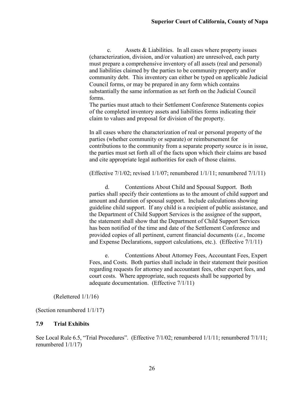c. Assets & Liabilities. In all cases where property issues (characterization, division, and/or valuation) are unresolved, each party must prepare a comprehensive inventory of all assets (real and personal) and liabilities claimed by the parties to be community property and/or community debt. This inventory can either be typed on applicable Judicial Council forms, or may be prepared in any form which contains substantially the same information as set forth on the Judicial Council forms.

The parties must attach to their Settlement Conference Statements copies of the completed inventory assets and liabilities forms indicating their claim to values and proposal for division of the property.

In all cases where the characterization of real or personal property of the parties (whether community or separate) or reimbursement for contributions to the community from a separate property source is in issue, the parties must set forth all of the facts upon which their claims are based and cite appropriate legal authorities for each of those claims.

(Effective 7/1/02; revised 1/1/07; renumbered 1/1/11; renumbered 7/1/11)

d. Contentions About Child and Spousal Support. Both parties shall specify their contentions as to the amount of child support and amount and duration of spousal support. Include calculations showing guideline child support. If any child is a recipient of public assistance, and the Department of Child Support Services is the assignee of the support, the statement shall show that the Department of Child Support Services has been notified of the time and date of the Settlement Conference and provided copies of all pertinent, current financial documents (*i.e.*, Income and Expense Declarations, support calculations, etc.). (Effective 7/1/11)

e. Contentions About Attorney Fees, Accountant Fees, Expert Fees, and Costs. Both parties shall include in their statement their position regarding requests for attorney and accountant fees, other expert fees, and court costs. Where appropriate, such requests shall be supported by adequate documentation. (Effective 7/1/11)

(Relettered 1/1/16)

(Section renumbered 1/1/17)

#### <span id="page-30-0"></span>**7.9 Trial Exhibits**

See Local Rule 6.5, "Trial Procedures". (Effective 7/1/02; renumbered 1/1/11; renumbered 7/1/11; renumbered 1/1/17)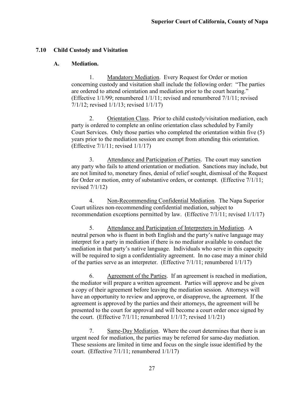#### <span id="page-31-0"></span>**7.10 Child Custody and Visitation**

#### **A. Mediation.**

1. Mandatory Mediation. Every Request for Order or motion concerning custody and visitation shall include the following order: "The parties are ordered to attend orientation and mediation prior to the court hearing." (Effective 1/1/99; renumbered 1/1/11; revised and renumbered 7/1/11; revised 7/1/12; revised 1/1/13; revised 1/1/17)

2. Orientation Class. Prior to child custody/visitation mediation, each party is ordered to complete an online orientation class scheduled by Family Court Services. Only those parties who completed the orientation within five (5) years prior to the mediation session are exempt from attending this orientation. (Effective 7/1/11; revised 1/1/17)

3. Attendance and Participation of Parties. The court may sanction any party who fails to attend orientation or mediation. Sanctions may include, but are not limited to, monetary fines, denial of relief sought, dismissal of the Request for Order or motion, entry of substantive orders, or contempt. (Effective 7/1/11; revised 7/1/12)

4. Non-Recommending Confidential Mediation. The Napa Superior Court utilizes non-recommending confidential mediation, subject to recommendation exceptions permitted by law. (Effective 7/1/11; revised 1/1/17)

5. Attendance and Participation of Interpreters in Mediation. A neutral person who is fluent in both English and the party's native language may interpret for a party in mediation if there is no mediator available to conduct the mediation in that party's native language. Individuals who serve in this capacity will be required to sign a confidentiality agreement. In no case may a minor child of the parties serve as an interpreter. (Effective 7/1/11; renumbered 1/1/17)

6. Agreement of the Parties. If an agreement is reached in mediation, the mediator will prepare a written agreement. Parties will approve and be given a copy of their agreement before leaving the mediation session. Attorneys will have an opportunity to review and approve, or disapprove, the agreement. If the agreement is approved by the parties and their attorneys, the agreement will be presented to the court for approval and will become a court order once signed by the court. (Effective  $7/1/11$ ; renumbered  $1/1/17$ ; revised  $1/1/21$ )

7. Same-Day Mediation. Where the court determines that there is an urgent need for mediation, the parties may be referred for same-day mediation. These sessions are limited in time and focus on the single issue identified by the court. (Effective 7/1/11; renumbered 1/1/17)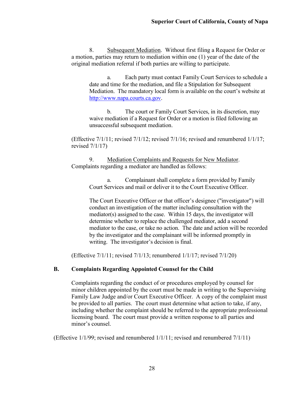8. Subsequent Mediation. Without first filing a Request for Order or a motion, parties may return to mediation within one (1) year of the date of the original mediation referral if both parties are willing to participate.

a. Each party must contact Family Court Services to schedule a date and time for the mediation, and file a Stipulation for Subsequent Mediation. The mandatory local form is available on the court's website at [http://www.napa.courts.ca.gov.](http://www.napa.courts.ca.gov/)

b. The court or Family Court Services, in its discretion, may waive mediation if a Request for Order or a motion is filed following an unsuccessful subsequent mediation.

(Effective 7/1/11; revised 7/1/12; revised 7/1/16; revised and renumbered 1/1/17; revised 7/1/17)

9. Mediation Complaints and Requests for New Mediator. Complaints regarding a mediator are handled as follows:

> a. Complainant shall complete a form provided by Family Court Services and mail or deliver it to the Court Executive Officer.

The Court Executive Officer or that officer's designee ("investigator") will conduct an investigation of the matter including consultation with the mediator(s) assigned to the case. Within 15 days, the investigator will determine whether to replace the challenged mediator, add a second mediator to the case, or take no action. The date and action will be recorded by the investigator and the complainant will be informed promptly in writing. The investigator's decision is final.

(Effective 7/1/11; revised 7/1/13; renumbered 1/1/17; revised 7/1/20)

## **B. Complaints Regarding Appointed Counsel for the Child**

Complaints regarding the conduct of or procedures employed by counsel for minor children appointed by the court must be made in writing to the Supervising Family Law Judge and/or Court Executive Officer. A copy of the complaint must be provided to all parties. The court must determine what action to take, if any, including whether the complaint should be referred to the appropriate professional licensing board. The court must provide a written response to all parties and minor's counsel.

(Effective 1/1/99; revised and renumbered 1/1/11; revised and renumbered 7/1/11)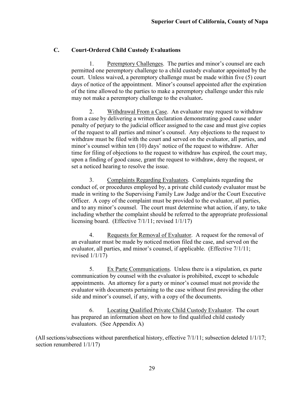#### **C. Court-Ordered Child Custody Evaluations**

1. Peremptory Challenges. The parties and minor's counsel are each permitted one peremptory challenge to a child custody evaluator appointed by the court. Unless waived, a peremptory challenge must be made within five (5) court days of notice of the appointment. Minor's counsel appointed after the expiration of the time allowed to the parties to make a peremptory challenge under this rule may not make a peremptory challenge to the evaluator**.**

2. Withdrawal From a Case. An evaluator may request to withdraw from a case by delivering a written declaration demonstrating good cause under penalty of perjury to the judicial officer assigned to the case and must give copies of the request to all parties and minor's counsel. Any objections to the request to withdraw must be filed with the court and served on the evaluator, all parties, and minor's counsel within ten (10) days' notice of the request to withdraw. After time for filing of objections to the request to withdraw has expired, the court may, upon a finding of good cause, grant the request to withdraw, deny the request, or set a noticed hearing to resolve the issue.

3. Complaints Regarding Evaluators. Complaints regarding the conduct of, or procedures employed by, a private child custody evaluator must be made in writing to the Supervising Family Law Judge and/or the Court Executive Officer. A copy of the complaint must be provided to the evaluator, all parties, and to any minor's counsel. The court must determine what action, if any, to take including whether the complaint should be referred to the appropriate professional licensing board. (Effective 7/1/11; revised 1/1/17)

4. Requests for Removal of Evaluator. A request for the removal of an evaluator must be made by noticed motion filed the case, and served on the evaluator, all parties, and minor's counsel, if applicable. (Effective 7/1/11; revised 1/1/17)

5. Ex Parte Communications. Unless there is a stipulation, ex parte communication by counsel with the evaluator is prohibited, except to schedule appointments. An attorney for a party or minor's counsel must not provide the evaluator with documents pertaining to the case without first providing the other side and minor's counsel, if any, with a copy of the documents.

6. Locating Qualified Private Child Custody Evaluator. The court has prepared an information sheet on how to find qualified child custody evaluators. (See Appendix A)

(All sections/subsections without parenthetical history, effective 7/1/11; subsection deleted 1/1/17; section renumbered 1/1/17)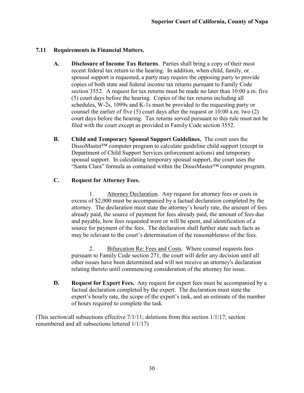## <span id="page-34-0"></span>**7.11 Requirements in Financial Matters.**

- **A. Disclosure of Income Tax Returns**. Parties shall bring a copy of their most recent federal tax return to the hearing. In addition, when child, family, or spousal support is requested, a party may require the opposing party to provide copies of both state and federal income tax returns pursuant to Family Code section 3552. A request for tax returns must be made no later than 10:00 a.m. five (5) court days before the hearing. Copies of the tax returns including all schedules, W-2s, 1099s and K-1s must be provided to the requesting party or counsel the earlier of five (5) court days after the request or 10:00 a.m. two (2) court days before the hearing. Tax returns served pursuant to this rule must not be filed with the court except as provided in Family Code section 3552.
- **B. Child and Temporary Spousal Support Guidelines.** The court uses the DissoMaster™ computer program to calculate guideline child support (except in Department of Child Support Services enforcement actions) and temporary spousal support. In calculating temporary spousal support, the court uses the "Santa Clara" formula as contained within the DissoMaster™ computer program.

## **C. Request for Attorney Fees.**

1. Attorney Declaration. Any request for attorney fees or costs in excess of \$2,000 must be accompanied by a factual declaration completed by the attorney. The declaration must state the attorney's hourly rate, the amount of fees already paid, the source of payment for fees already paid, the amount of fees due and payable, how fees requested were or will be spent, and identification of a source for payment of the fees. The declaration shall further state such facts as may be relevant to the court's determination of the reasonableness of the fees.

2. Bifurcation Re: Fees and Costs. Where counsel requests fees pursuant to Family Code section 271, the court will defer any decision until all other issues have been determined and will not receive an attorney's declaration relating thereto until commencing consideration of the attorney fee issue.

**D. Request for Expert Fees.** Any request for expert fees must be accompanied by a factual declaration completed by the expert. The declaration must state the expert's hourly rate, the scope of the expert's task, and an estimate of the number of hours required to complete the task.

(This section/all subsections effective 7/1/11; deletions from this section 1/1/17; section renumbered and all subsections lettered 1/1/17)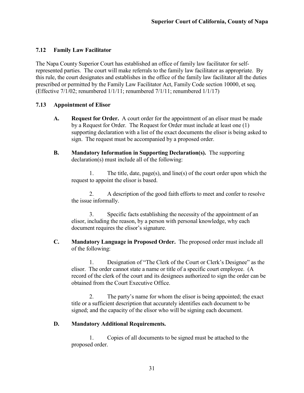## <span id="page-35-0"></span>**7.12 Family Law Facilitator**

The Napa County Superior Court has established an office of family law facilitator for selfrepresented parties. The court will make referrals to the family law facilitator as appropriate. By this rule, the court designates and establishes in the office of the family law facilitator all the duties prescribed or permitted by the Family Law Facilitator Act, Family Code section 10000, et seq. (Effective 7/1/02; renumbered 1/1/11; renumbered 7/1/11; renumbered 1/1/17)

## <span id="page-35-1"></span>**7.13 Appointment of Elisor**

- **A. Request for Order.** A court order for the appointment of an elisor must be made by a Request for Order. The Request for Order must include at least one (1) supporting declaration with a list of the exact documents the elisor is being asked to sign. The request must be accompanied by a proposed order.
- **B. Mandatory Information in Supporting Declaration(s).** The supporting declaration(s) must include all of the following:

1. The title, date, page(s), and line(s) of the court order upon which the request to appoint the elisor is based.

2. A description of the good faith efforts to meet and confer to resolve the issue informally.

3. Specific facts establishing the necessity of the appointment of an elisor, including the reason, by a person with personal knowledge, why each document requires the elisor's signature.

**C. Mandatory Language in Proposed Order.** The proposed order must include all of the following:

1. Designation of "The Clerk of the Court or Clerk's Designee" as the elisor. The order cannot state a name or title of a specific court employee. (A record of the clerk of the court and its designees authorized to sign the order can be obtained from the Court Executive Office.

2. The party's name for whom the elisor is being appointed; the exact title or a sufficient description that accurately identifies each document to be signed; and the capacity of the elisor who will be signing each document.

#### **D. Mandatory Additional Requirements.**

1. Copies of all documents to be signed must be attached to the proposed order.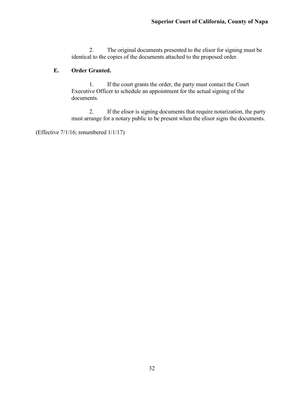2. The original documents presented to the elisor for signing must be identical to the copies of the documents attached to the proposed order.

## **E. Order Granted.**

1. If the court grants the order, the party must contact the Court Executive Officer to schedule an appointment for the actual signing of the documents.

2. If the elisor is signing documents that require notarization, the party must arrange for a notary public to be present when the elisor signs the documents.

(Effective 7/1/16; renumbered 1/1/17)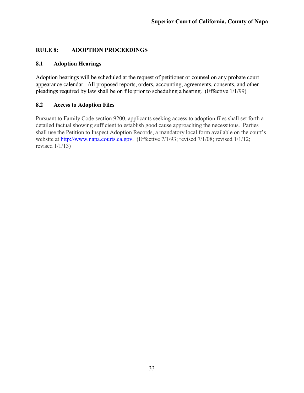## <span id="page-37-0"></span>**RULE 8: ADOPTION PROCEEDINGS**

#### <span id="page-37-1"></span>**8.1 Adoption Hearings**

Adoption hearings will be scheduled at the request of petitioner or counsel on any probate court appearance calendar. All proposed reports, orders, accounting, agreements, consents, and other pleadings required by law shall be on file prior to scheduling a hearing. (Effective 1/1/99)

#### <span id="page-37-2"></span>**8.2 Access to Adoption Files**

Pursuant to Family Code section 9200, applicants seeking access to adoption files shall set forth a detailed factual showing sufficient to establish good cause approaching the necessitous. Parties shall use the Petition to Inspect Adoption Records, a mandatory local form available on the court's website at [http://www.napa.courts.ca.gov.](http://www.napa.courts.ca.gov/) (Effective 7/1/93; revised 7/1/08; revised 1/1/12; revised  $1/1/13$ )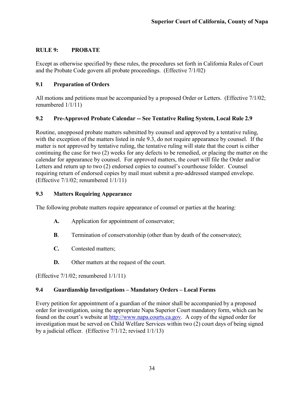#### <span id="page-38-0"></span>**RULE 9: PROBATE**

Except as otherwise specified by these rules, the procedures set forth in California Rules of Court and the Probate Code govern all probate proceedings. (Effective 7/1/02)

## <span id="page-38-1"></span>**9.1 Preparation of Orders**

All motions and petitions must be accompanied by a proposed Order or Letters. (Effective 7/1/02; renumbered 1/1/11)

## <span id="page-38-2"></span>**9.2 Pre-Approved Probate Calendar -- See Tentative Ruling System, Local Rule 2.9**

Routine, unopposed probate matters submitted by counsel and approved by a tentative ruling, with the exception of the matters listed in rule 9.3, do not require appearance by counsel. If the matter is not approved by tentative ruling, the tentative ruling will state that the court is either continuing the case for two (2) weeks for any defects to be remedied, or placing the matter on the calendar for appearance by counsel. For approved matters, the court will file the Order and/or Letters and return up to two (2) endorsed copies to counsel's courthouse folder. Counsel requiring return of endorsed copies by mail must submit a pre-addressed stamped envelope. (Effective 7/1/02; renumbered 1/1/11)

## <span id="page-38-3"></span>**9.3 Matters Requiring Appearance**

The following probate matters require appearance of counsel or parties at the hearing:

- **A.** Application for appointment of conservator;
- **B**. Termination of conservatorship (other than by death of the conservatee);
- **C.** Contested matters;
- **D.** Other matters at the request of the court.

(Effective 7/1/02; renumbered 1/1/11)

## <span id="page-38-4"></span>**9.4 Guardianship Investigations – Mandatory Orders – Local Forms**

Every petition for appointment of a guardian of the minor shall be accompanied by a proposed order for investigation, using the appropriate Napa Superior Court mandatory form, which can be found on the court's website at [http://www.napa.courts.ca.gov.](http://www.napa.courts.ca.gov/) A copy of the signed order for investigation must be served on Child Welfare Services within two (2) court days of being signed by a judicial officer. (Effective 7/1/12; revised 1/1/13)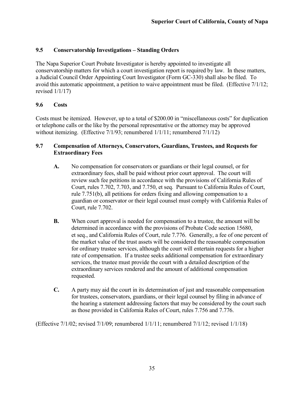## <span id="page-39-0"></span>**9.5 Conservatorship Investigations – Standing Orders**

The Napa Superior Court Probate Investigator is hereby appointed to investigate all conservatorship matters for which a court investigation report is required by law. In these matters, a Judicial Council Order Appointing Court Investigator (Form GC-330) shall also be filed. To avoid this automatic appointment, a petition to waive appointment must be filed. (Effective 7/1/12; revised 1/1/17)

#### <span id="page-39-1"></span>**9.6 Costs**

Costs must be itemized. However, up to a total of \$200.00 in "miscellaneous costs" for duplication or telephone calls or the like by the personal representative or the attorney may be approved without itemizing. (Effective 7/1/93; renumbered  $1/1/11$ ; renumbered  $7/1/12$ )

#### <span id="page-39-2"></span>**9.7 Compensation of Attorneys, Conservators, Guardians, Trustees, and Requests for Extraordinary Fees**

- **A.** No compensation for conservators or guardians or their legal counsel, or for extraordinary fees, shall be paid without prior court approval. The court will review such fee petitions in accordance with the provisions of California Rules of Court, rules 7.702, 7.703, and 7.750, et seq. Pursuant to California Rules of Court, rule 7.751(b), all petitions for orders fixing and allowing compensation to a guardian or conservator or their legal counsel must comply with California Rules of Court, rule 7.702.
- **B.** When court approval is needed for compensation to a trustee, the amount will be determined in accordance with the provisions of Probate Code section 15680, et seq., and California Rules of Court, rule 7.776. Generally, a fee of one percent of the market value of the trust assets will be considered the reasonable compensation for ordinary trustee services, although the court will entertain requests for a higher rate of compensation. If a trustee seeks additional compensation for extraordinary services, the trustee must provide the court with a detailed description of the extraordinary services rendered and the amount of additional compensation requested.
- **C.** A party may aid the court in its determination of just and reasonable compensation for trustees, conservators, guardians, or their legal counsel by filing in advance of the hearing a statement addressing factors that may be considered by the court such as those provided in California Rules of Court, rules 7.756 and 7.776.

(Effective 7/1/02; revised 7/1/09; renumbered 1/1/11; renumbered 7/1/12; revised 1/1/18)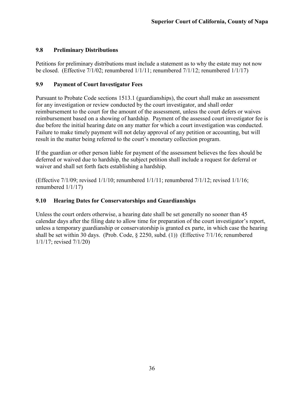#### <span id="page-40-0"></span>**9.8 Preliminary Distributions**

Petitions for preliminary distributions must include a statement as to why the estate may not now be closed. (Effective 7/1/02; renumbered  $1/1/11$ ; renumbered  $7/1/12$ ; renumbered  $1/1/17$ )

## <span id="page-40-1"></span>**9.9 Payment of Court Investigator Fees**

Pursuant to Probate Code sections 1513.1 (guardianships), the court shall make an assessment for any investigation or review conducted by the court investigator, and shall order reimbursement to the court for the amount of the assessment, unless the court defers or waives reimbursement based on a showing of hardship. Payment of the assessed court investigator fee is due before the initial hearing date on any matter for which a court investigation was conducted. Failure to make timely payment will not delay approval of any petition or accounting, but will result in the matter being referred to the court's monetary collection program.

If the guardian or other person liable for payment of the assessment believes the fees should be deferred or waived due to hardship, the subject petition shall include a request for deferral or waiver and shall set forth facts establishing a hardship.

(Effective 7/1/09; revised 1/1/10; renumbered 1/1/11; renumbered 7/1/12; revised 1/1/16; renumbered 1/1/17)

## <span id="page-40-2"></span>**9.10 Hearing Dates for Conservatorships and Guardianships**

Unless the court orders otherwise, a hearing date shall be set generally no sooner than 45 calendar days after the filing date to allow time for preparation of the court investigator's report, unless a temporary guardianship or conservatorship is granted ex parte, in which case the hearing shall be set within 30 days. (Prob. Code, § 2250, subd. (1)) (Effective 7/1/16; renumbered 1/1/17; revised 7/1/20)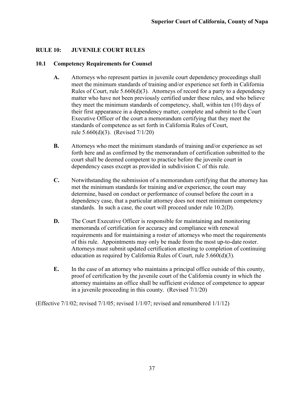#### <span id="page-41-0"></span>**RULE 10: JUVENILE COURT RULES**

#### <span id="page-41-1"></span>**10.1 Competency Requirements for Counsel**

- **A.** Attorneys who represent parties in juvenile court dependency proceedings shall meet the minimum standards of training and/or experience set forth in California Rules of Court, rule  $5.660(d)(3)$ . Attorneys of record for a party to a dependency matter who have not been previously certified under these rules, and who believe they meet the minimum standards of competency, shall, within ten (10) days of their first appearance in a dependency matter, complete and submit to the Court Executive Officer of the court a memorandum certifying that they meet the standards of competence as set forth in California Rules of Court, rule 5.660(d)(3). (Revised 7/1/20)
- **B.** Attorneys who meet the minimum standards of training and/or experience as set forth here and as confirmed by the memorandum of certification submitted to the court shall be deemed competent to practice before the juvenile court in dependency cases except as provided in subdivision C of this rule.
- **C.** Notwithstanding the submission of a memorandum certifying that the attorney has met the minimum standards for training and/or experience, the court may determine, based on conduct or performance of counsel before the court in a dependency case, that a particular attorney does not meet minimum competency standards. In such a case, the court will proceed under rule 10.2(D).
- **D.** The Court Executive Officer is responsible for maintaining and monitoring memoranda of certification for accuracy and compliance with renewal requirements and for maintaining a roster of attorneys who meet the requirements of this rule. Appointments may only be made from the most up-to-date roster. Attorneys must submit updated certification attesting to completion of continuing education as required by California Rules of Court, rule 5.660(d)(3).
- **E.** In the case of an attorney who maintains a principal office outside of this county, proof of certification by the juvenile court of the California county in which the attorney maintains an office shall be sufficient evidence of competence to appear in a juvenile proceeding in this county. (Revised 7/1/20)

(Effective 7/1/02; revised 7/1/05; revised 1/1/07; revised and renumbered 1/1/12)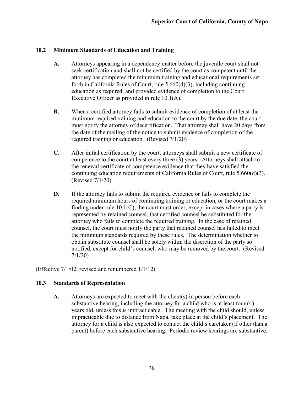#### <span id="page-42-0"></span>**10.2 Minimum Standards of Education and Training**

- **A.** Attorneys appearing in a dependency matter before the juvenile court shall not seek certification and shall not be certified by the court as competent until the attorney has completed the minimum training and educational requirements set forth in California Rules of Court, rule 5.660(d)(3), including continuing education as required, and provided evidence of completion to the Court Executive Officer as provided in rule 10.1(A).
- **B.** When a certified attorney fails to submit evidence of completion of at least the minimum required training and education to the court by the due date, the court must notify the attorney of decertification. That attorney shall have 20 days from the date of the mailing of the notice to submit evidence of completion of the required training or education. (Revised 7/1/20)
- **C.** After initial certification by the court, attorneys shall submit a new certificate of competence to the court at least every three (3) years. Attorneys shall attach to the renewal certificate of competence evidence that they have satisfied the continuing education requirements of California Rules of Court, rule 5.660(d)(3). (Revised 7/1/20)
- **D.** If the attorney fails to submit the required evidence or fails to complete the required minimum hours of continuing training or education, or the court makes a finding under rule 10.1(C), the court must order, except in cases where a party is represented by retained counsel, that certified counsel be substituted for the attorney who fails to complete the required training. In the case of retained counsel, the court must notify the party that retained counsel has failed to meet the minimum standards required by these rules. The determination whether to obtain substitute counsel shall be solely within the discretion of the party so notified, except for child's counsel, who may be removed by the court. (Revised 7/1/20)

(Effective 7/1/02; revised and renumbered 1/1/12)

#### <span id="page-42-1"></span>**10.3 Standards of Representation**

**A.** Attorneys are expected to meet with the client(s) in person before each substantive hearing, including the attorney for a child who is at least four (4) years old, unless this is impracticable. The meeting with the child should, unless impracticable due to distance from Napa, take place at the child's placement. The attorney for a child is also expected to contact the child's caretaker (if other than a parent) before each substantive hearing. Periodic review hearings are substantive.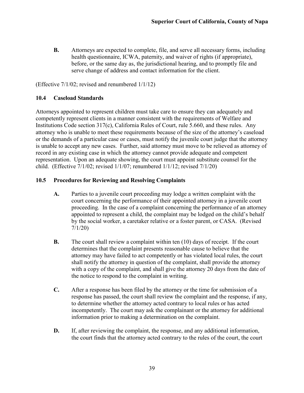**B.** Attorneys are expected to complete, file, and serve all necessary forms, including health questionnaire, ICWA, paternity, and waiver of rights (if appropriate), before, or the same day as, the jurisdictional hearing, and to promptly file and serve change of address and contact information for the client.

(Effective 7/1/02; revised and renumbered 1/1/12)

#### <span id="page-43-0"></span>**10.4 Caseload Standards**

Attorneys appointed to represent children must take care to ensure they can adequately and competently represent clients in a manner consistent with the requirements of Welfare and Institutions Code section 317(c), California Rules of Court, rule 5.660, and these rules. Any attorney who is unable to meet these requirements because of the size of the attorney's caseload or the demands of a particular case or cases, must notify the juvenile court judge that the attorney is unable to accept any new cases. Further, said attorney must move to be relieved as attorney of record in any existing case in which the attorney cannot provide adequate and competent representation. Upon an adequate showing, the court must appoint substitute counsel for the child. (Effective 7/1/02; revised 1/1/07; renumbered 1/1/12; revised 7/1/20)

#### <span id="page-43-1"></span>**10.5 Procedures for Reviewing and Resolving Complaints**

- **A.** Parties to a juvenile court proceeding may lodge a written complaint with the court concerning the performance of their appointed attorney in a juvenile court proceeding. In the case of a complaint concerning the performance of an attorney appointed to represent a child, the complaint may be lodged on the child's behalf by the social worker, a caretaker relative or a foster parent, or CASA. (Revised 7/1/20)
- **B.** The court shall review a complaint within ten (10) days of receipt. If the court determines that the complaint presents reasonable cause to believe that the attorney may have failed to act competently or has violated local rules, the court shall notify the attorney in question of the complaint, shall provide the attorney with a copy of the complaint, and shall give the attorney 20 days from the date of the notice to respond to the complaint in writing.
- **C.** After a response has been filed by the attorney or the time for submission of a response has passed, the court shall review the complaint and the response, if any, to determine whether the attorney acted contrary to local rules or has acted incompetently. The court may ask the complainant or the attorney for additional information prior to making a determination on the complaint.
- **D.** If, after reviewing the complaint, the response, and any additional information, the court finds that the attorney acted contrary to the rules of the court, the court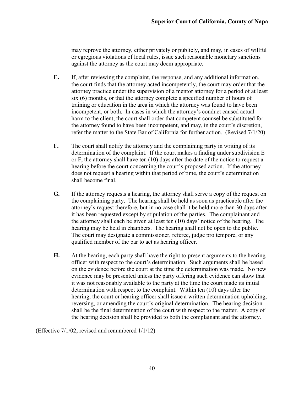may reprove the attorney, either privately or publicly, and may, in cases of willful or egregious violations of local rules, issue such reasonable monetary sanctions against the attorney as the court may deem appropriate.

- **E.** If, after reviewing the complaint, the response, and any additional information, the court finds that the attorney acted incompetently, the court may order that the attorney practice under the supervision of a mentor attorney for a period of at least six (6) months, or that the attorney complete a specified number of hours of training or education in the area in which the attorney was found to have been incompetent, or both. In cases in which the attorney's conduct caused actual harm to the client, the court shall order that competent counsel be substituted for the attorney found to have been incompetent, and may, in the court's discretion, refer the matter to the State Bar of California for further action. (Revised 7/1/20)
- **F.** The court shall notify the attorney and the complaining party in writing of its determination of the complaint. If the court makes a finding under subdivision E or F, the attorney shall have ten (10) days after the date of the notice to request a hearing before the court concerning the court's proposed action. If the attorney does not request a hearing within that period of time, the court's determination shall become final.
- **G.** If the attorney requests a hearing, the attorney shall serve a copy of the request on the complaining party. The hearing shall be held as soon as practicable after the attorney's request therefore, but in no case shall it be held more than 30 days after it has been requested except by stipulation of the parties. The complainant and the attorney shall each be given at least ten (10) days' notice of the hearing. The hearing may be held in chambers. The hearing shall not be open to the public. The court may designate a commissioner, referee, judge pro tempore, or any qualified member of the bar to act as hearing officer.
- **H.** At the hearing, each party shall have the right to present arguments to the hearing officer with respect to the court's determination. Such arguments shall be based on the evidence before the court at the time the determination was made. No new evidence may be presented unless the party offering such evidence can show that it was not reasonably available to the party at the time the court made its initial determination with respect to the complaint. Within ten (10) days after the hearing, the court or hearing officer shall issue a written determination upholding, reversing, or amending the court's original determination. The hearing decision shall be the final determination of the court with respect to the matter. A copy of the hearing decision shall be provided to both the complainant and the attorney.

(Effective 7/1/02; revised and renumbered 1/1/12)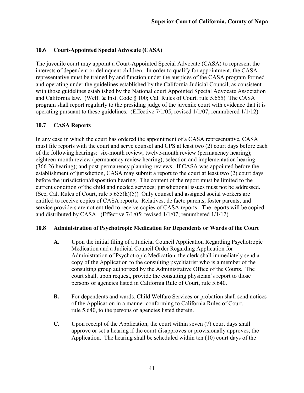## <span id="page-45-0"></span>**10.6 Court-Appointed Special Advocate (CASA)**

The juvenile court may appoint a Court-Appointed Special Advocate (CASA) to represent the interests of dependent or delinquent children. In order to qualify for appointment, the CASA representative must be trained by and function under the auspices of the CASA program formed and operating under the guidelines established by the California Judicial Council, as consistent with those guidelines established by the National court Appointed Special Advocate Association and California law. (Welf. & Inst. Code § 100; Cal. Rules of Court, rule 5.655) The CASA program shall report regularly to the presiding judge of the juvenile court with evidence that it is operating pursuant to these guidelines. (Effective 7/1/05; revised 1/1/07; renumbered 1/1/12)

#### <span id="page-45-1"></span>**10.7 CASA Reports**

In any case in which the court has ordered the appointment of a CASA representative, CASA must file reports with the court and serve counsel and CPS at least two (2) court days before each of the following hearings: six-month review; twelve-month review (permanency hearing); eighteen-month review (permanency review hearing); selection and implementation hearing (366.26 hearing); and post-permanency planning reviews. If CASA was appointed before the establishment of jurisdiction, CASA may submit a report to the court at least two (2) court days before the jurisdiction/disposition hearing. The content of the report must be limited to the current condition of the child and needed services; jurisdictional issues must not be addressed. (See, Cal. Rules of Court, rule  $5.655(k)(5)$ ) Only counsel and assigned social workers are entitled to receive copies of CASA reports. Relatives, de facto parents, foster parents, and service providers are not entitled to receive copies of CASA reports. The reports will be copied and distributed by CASA. (Effective 7/1/05; revised 1/1/07; renumbered 1/1/12)

#### <span id="page-45-2"></span>**10.8 Administration of Psychotropic Medication for Dependents or Wards of the Court**

- **A.** Upon the initial filing of a Judicial Council Application Regarding Psychotropic Medication and a Judicial Council Order Regarding Application for Administration of Psychotropic Medication, the clerk shall immediately send a copy of the Application to the consulting psychiatrist who is a member of the consulting group authorized by the Administrative Office of the Courts. The court shall, upon request, provide the consulting physician's report to those persons or agencies listed in California Rule of Court, rule 5.640.
- **B.** For dependents and wards, Child Welfare Services or probation shall send notices of the Application in a manner conforming to California Rules of Court, rule 5.640, to the persons or agencies listed therein.
- **C.** Upon receipt of the Application, the court within seven (7) court days shall approve or set a hearing if the court disapproves or provisionally approves, the Application. The hearing shall be scheduled within ten (10) court days of the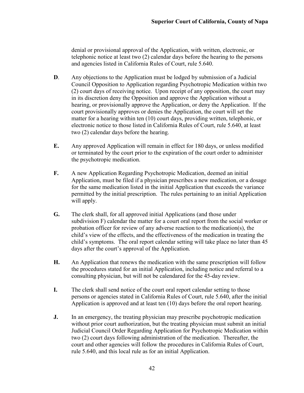denial or provisional approval of the Application, with written, electronic, or telephonic notice at least two (2) calendar days before the hearing to the persons and agencies listed in California Rules of Court, rule 5.640.

- **D**. Any objections to the Application must be lodged by submission of a Judicial Council Opposition to Application regarding Psychotropic Medication within two (2) court days of receiving notice. Upon receipt of any opposition, the court may in its discretion deny the Opposition and approve the Application without a hearing, or provisionally approve the Application, or deny the Application. If the court provisionally approves or denies the Application, the court will set the matter for a hearing within ten (10) court days, providing written, telephonic, or electronic notice to those listed in California Rules of Court, rule 5.640, at least two (2) calendar days before the hearing.
- **E.** Any approved Application will remain in effect for 180 days, or unless modified or terminated by the court prior to the expiration of the court order to administer the psychotropic medication.
- **F.** A new Application Regarding Psychotropic Medication, deemed an initial Application, must be filed if a physician prescribes a new medication, or a dosage for the same medication listed in the initial Application that exceeds the variance permitted by the initial prescription. The rules pertaining to an initial Application will apply.
- **G.** The clerk shall, for all approved initial Applications (and those under subdivision F) calendar the matter for a court oral report from the social worker or probation officer for review of any adverse reaction to the medication(s), the child's view of the effects, and the effectiveness of the medication in treating the child's symptoms. The oral report calendar setting will take place no later than 45 days after the court's approval of the Application.
- **H.** An Application that renews the medication with the same prescription will follow the procedures stated for an initial Application, including notice and referral to a consulting physician, but will not be calendared for the 45-day review.
- **I.** The clerk shall send notice of the court oral report calendar setting to those persons or agencies stated in California Rules of Court, rule 5.640, after the initial Application is approved and at least ten (10) days before the oral report hearing.
- **J.** In an emergency, the treating physician may prescribe psychotropic medication without prior court authorization, but the treating physician must submit an initial Judicial Council Order Regarding Application for Psychotropic Medication within two (2) court days following administration of the medication. Thereafter, the court and other agencies will follow the procedures in California Rules of Court, rule 5.640, and this local rule as for an initial Application.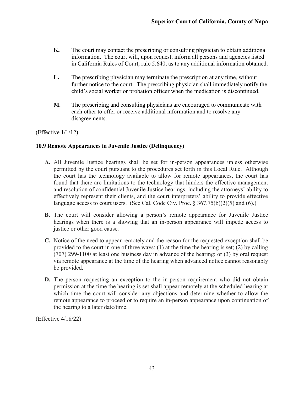- **K.** The court may contact the prescribing or consulting physician to obtain additional information. The court will, upon request, inform all persons and agencies listed in California Rules of Court, rule 5.640, as to any additional information obtained.
- **L.** The prescribing physician may terminate the prescription at any time, without further notice to the court. The prescribing physician shall immediately notify the child's social worker or probation officer when the medication is discontinued.
- **M.** The prescribing and consulting physicians are encouraged to communicate with each other to offer or receive additional information and to resolve any disagreements.

(Effective 1/1/12)

## **10.9 Remote Appearances in Juvenile Justice (Delinquency)**

- **A.** All Juvenile Justice hearings shall be set for in-person appearances unless otherwise permitted by the court pursuant to the procedures set forth in this Local Rule. Although the court has the technology available to allow for remote appearances, the court has found that there are limitations to the technology that hinders the effective management and resolution of confidential Juvenile Justice hearings, including the attorneys' ability to effectively represent their clients, and the court interpreters' ability to provide effective language access to court users. (See Cal. Code Civ. Proc.  $\S 367.75(b)(2)(5)$  and  $(6)$ .)
- **B.** The court will consider allowing a person's remote appearance for Juvenile Justice hearings when there is a showing that an in-person appearance will impede access to justice or other good cause.
- **C.** Notice of the need to appear remotely and the reason for the requested exception shall be provided to the court in one of three ways: (1) at the time the hearing is set; (2) by calling (707) 299-1100 at least one business day in advance of the hearing; or (3) by oral request via remote appearance at the time of the hearing when advanced notice cannot reasonably be provided.
- **D.** The person requesting an exception to the in-person requirement who did not obtain permission at the time the hearing is set shall appear remotely at the scheduled hearing at which time the court will consider any objections and determine whether to allow the remote appearance to proceed or to require an in-person appearance upon continuation of the hearing to a later date/time.

(Effective 4/18/22)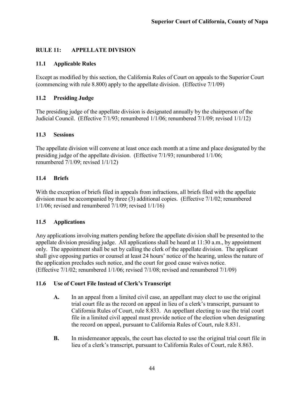## <span id="page-48-0"></span>**RULE 11: APPELLATE DIVISION**

## <span id="page-48-1"></span>**11.1 Applicable Rules**

Except as modified by this section, the California Rules of Court on appeals to the Superior Court (commencing with rule 8.800) apply to the appellate division. (Effective 7/1/09)

#### <span id="page-48-2"></span>**11.2 Presiding Judge**

The presiding judge of the appellate division is designated annually by the chairperson of the Judicial Council. (Effective 7/1/93; renumbered 1/1/06; renumbered 7/1/09; revised 1/1/12)

## <span id="page-48-3"></span>**11.3 Sessions**

The appellate division will convene at least once each month at a time and place designated by the presiding judge of the appellate division. (Effective 7/1/93; renumbered 1/1/06; renumbered 7/1/09; revised 1/1/12)

## <span id="page-48-4"></span>**11.4 Briefs**

With the exception of briefs filed in appeals from infractions, all briefs filed with the appellate division must be accompanied by three (3) additional copies. (Effective 7/1/02; renumbered 1/1/06; revised and renumbered 7/1/09; revised 1/1/16)

## <span id="page-48-5"></span>**11.5 Applications**

Any applications involving matters pending before the appellate division shall be presented to the appellate division presiding judge. All applications shall be heard at 11:30 a.m., by appointment only. The appointment shall be set by calling the clerk of the appellate division. The applicant shall give opposing parties or counsel at least 24 hours' notice of the hearing, unless the nature of the application precludes such notice, and the court for good cause waives notice. (Effective 7/1/02; renumbered 1/1/06; revised 7/1/08; revised and renumbered 7/1/09)

## <span id="page-48-6"></span>**11.6 Use of Court File Instead of Clerk's Transcript**

- **A.** In an appeal from a limited civil case, an appellant may elect to use the original trial court file as the record on appeal in lieu of a clerk's transcript, pursuant to California Rules of Court, rule 8.833. An appellant electing to use the trial court file in a limited civil appeal must provide notice of the election when designating the record on appeal, pursuant to California Rules of Court, rule 8.831.
- **B.** In misdemeanor appeals, the court has elected to use the original trial court file in lieu of a clerk's transcript, pursuant to California Rules of Court, rule 8.863.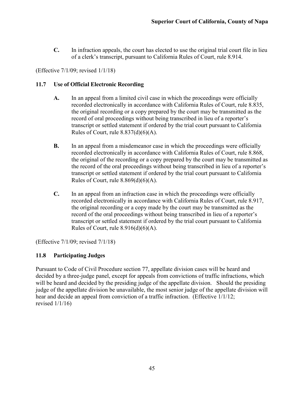**C.** In infraction appeals, the court has elected to use the original trial court file in lieu of a clerk's transcript, pursuant to California Rules of Court, rule 8.914.

(Effective 7/1/09; revised 1/1/18)

## <span id="page-49-0"></span>**11.7 Use of Official Electronic Recording**

- **A.** In an appeal from a limited civil case in which the proceedings were officially recorded electronically in accordance with California Rules of Court, rule 8.835, the original recording or a copy prepared by the court may be transmitted as the record of oral proceedings without being transcribed in lieu of a reporter's transcript or settled statement if ordered by the trial court pursuant to California Rules of Court, rule  $8.837(d)(6)(A)$ .
- **B.** In an appeal from a misdemeanor case in which the proceedings were officially recorded electronically in accordance with California Rules of Court, rule 8.868, the original of the recording or a copy prepared by the court may be transmitted as the record of the oral proceedings without being transcribed in lieu of a reporter's transcript or settled statement if ordered by the trial court pursuant to California Rules of Court, rule  $8.869(d)(6)(A)$ .
- **C.** In an appeal from an infraction case in which the proceedings were officially recorded electronically in accordance with California Rules of Court, rule 8.917, the original recording or a copy made by the court may be transmitted as the record of the oral proceedings without being transcribed in lieu of a reporter's transcript or settled statement if ordered by the trial court pursuant to California Rules of Court, rule  $8.916(d)(6)(A)$ .

(Effective 7/1/09; revised 7/1/18)

#### <span id="page-49-1"></span>**11.8 Participating Judges**

Pursuant to Code of Civil Procedure section 77, appellate division cases will be heard and decided by a three-judge panel, except for appeals from convictions of traffic infractions, which will be heard and decided by the presiding judge of the appellate division. Should the presiding judge of the appellate division be unavailable, the most senior judge of the appellate division will hear and decide an appeal from conviction of a traffic infraction. (Effective 1/1/12; revised  $1/1/16$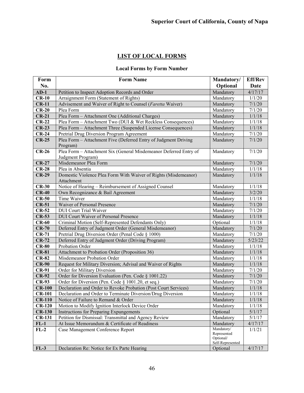## **LIST OF LOCAL FORMS**

## **Local Forms by Form Number**

| Form          | <b>Form Name</b><br>Mandatory/                                    |                          | <b>Eff/Rev</b> |
|---------------|-------------------------------------------------------------------|--------------------------|----------------|
| No.           |                                                                   |                          | Date           |
| $AD-1$        | Petition to Inspect Adoption Records and Order                    | Optional<br>Mandatory    | 4/17/17        |
| $CR-10$       | Arraignment Form (Statement of Rights)                            | Mandatory                | 1/1/20         |
| $CR-11$       | Advisement and Waiver of Right to Counsel (Faretta Waiver)        | Mandatory                | 7/1/20         |
| $CR-20$       | Plea Form                                                         | Mandatory                | 7/1/20         |
| $CR-21$       | Plea Form - Attachment One (Additional Charges)                   | Mandatory                | 1/1/18         |
| $CR-22$       | Plea Form - Attachment Two (DUI & Wet Reckless Consequences)      | Mandatory                | 1/1/18         |
| $CR-23$       | Plea Form - Attachment Three (Suspended License Consequences)     | Mandatory                | 1/1/18         |
| $CR-24$       | Pretrial Drug Diversion Program Agreement                         | Mandatory                | 7/1/20         |
| $CR-25$       | Plea Form - Attachment Five (Deferred Entry of Judgment Driving   | Mandatory                | 7/1/20         |
|               | Program)                                                          |                          |                |
| $CR-26$       | Plea Form - Attachment Six (General Misdemeanor Deferred Entry of | Mandatory                | 7/1/20         |
|               | Judgment Program)                                                 |                          |                |
| $CR-27$       | Misdemeanor Plea Form                                             | Mandatory                | 7/1/20         |
| $CR-28$       | Plea in Absentia                                                  | Mandatory                | 1/1/18         |
| $CR-29$       | Domestic Violence Plea Form With Waiver of Rights (Misdemeanor)   | Mandatory                | 1/1/18         |
|               | Attachment                                                        |                          |                |
| $CR-30$       | Notice of Hearing - Reimbursement of Assigned Counsel             | Mandatory                | 1/1/18         |
| $CR-40$       | Own Recognizance & Bail Agreement                                 | Mandatory                | 3/2/20         |
| $CR-50$       | Time Waiver                                                       | Mandatory                | 1/1/18         |
| $CR-51$       | Waiver of Personal Presence                                       | Mandatory                | 7/1/20         |
| $CR-52$       | <b>DUI</b> Court Trial Waiver                                     | Mandatory                | 7/1/20         |
| $CR-53$       | DUI Court Waiver of Personal Presence                             | Mandatory                | 1/1/18         |
| $CR-60$       | Criminal Motion (Self-Represented Defendants Only)                | Optional                 | 1/1/18         |
| $CR-70$       | Deferred Entry of Judgment Order (General Misdemeanor)            | Mandatory                | 7/1/20         |
| $CR-71$       | Pretrial Drug Diversion Order (Penal Code § 1000)                 | Mandatory                | 7/1/20         |
| $CR-72$       | Deferred Entry of Judgment Order (Driving Program)                | Mandatory                | 5/23/22        |
| $CR-80$       | Probation Order                                                   | Mandatory                | 1/1/18         |
| <b>CR-81</b>  | Attachment to Probation Order (Proposition 36)                    | Mandatory                | 1/1/18         |
| $CR-82$       | Misdemeanor Probation Order                                       | Mandatory                | 1/1/18         |
| $CR-90$       | Request for Military Diversion; Advisal and Waiver of Rights      | Mandatory                | 1/1/18         |
| <b>CR-91</b>  | Order for Military Diversion                                      | Mandatory                | 7/1/20         |
| <b>CR-92</b>  | Order for Diversion Evaluation (Pen. Code § 1001.22)              | Mandatory                | 7/1/20         |
| <b>CR-93</b>  | Order for Diversion (Pen. Code § 1001.20, et seq.)                | Mandatory                | 7/1/20         |
| $CR-100$      | Declaration and Order to Revoke Probation (Post Court Services)   | Mandatory                | 1/1/18         |
| <b>CR-101</b> | Declaration and Order to Terminate Diversion/Drug Diversion       | Mandatory                | 1/1/18         |
| $CR-110$      | Notice of Failure to Remand & Order                               | Mandatory                | 1/1/18         |
| $CR-120$      | Motion to Modify Ignition Interlock Device Order                  | Mandatory                | 1/1/18         |
| $CR-130$      | Instructions for Preparing Expungements                           | Optional                 | 5/1/17         |
| $CR-131$      | Petition for Dismissal: Transmittal and Agency Review             | Mandatory                | 5/1/17         |
| $FL-1$        | At Issue Memorandum & Certificate of Readiness                    | Mandatory                | 4/17/17        |
| $FL-2$        | Case Management Conference Report                                 | Mandatory/               | 1/1/21         |
|               |                                                                   | Represented<br>Optional/ |                |
|               |                                                                   | Self-Represented         |                |
| $FL-3$        | Declaration Re: Notice for Ex Parte Hearing                       | Optional                 | 4/17/17        |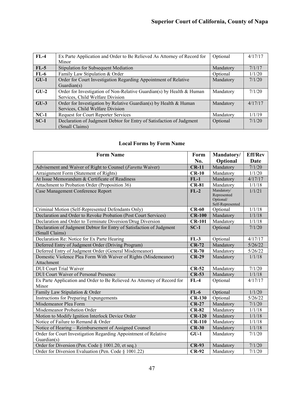| $FL-4$ | Ex Parte Application and Order to Be Relieved As Attorney of Record for | Optional  | 4/17/17 |
|--------|-------------------------------------------------------------------------|-----------|---------|
|        | Minor                                                                   |           |         |
| $FL-5$ | Stipulation for Subsequent Mediation                                    | Mandatory | 7/1/17  |
| $FL-6$ | Family Law Stipulation & Order                                          | Optional  | 1/1/20  |
| $GU-1$ | Order for Court Investigation Regarding Appointment of Relative         | Mandatory | 7/1/20  |
|        | Guardian $(s)$                                                          |           |         |
| $GU-2$ | Order for Investigation of Non-Relative Guardian(s) by Health & Human   | Mandatory | 7/1/20  |
|        | Services, Child Welfare Division                                        |           |         |
| $GU-3$ | Order for Investigation by Relative Guardian(s) by Health & Human       | Mandatory | 4/17/17 |
|        | Services, Child Welfare Division                                        |           |         |
| $NC-1$ | Request for Court Reporter Services                                     | Mandatory | 1/1/19  |
| $SC-1$ | Declaration of Judgment Debtor for Entry of Satisfaction of Judgment    | Optional  | 7/1/20  |
|        | Small Claims)                                                           |           |         |

## **Local Forms by Form Name**

| <b>Form Name</b>                                                                       | Form          | Mandatory/                                                 | <b>Eff/Rev</b>     |
|----------------------------------------------------------------------------------------|---------------|------------------------------------------------------------|--------------------|
|                                                                                        | No.           | Optional                                                   | Date               |
| Advisement and Waiver of Right to Counsel (Faretta Waiver)                             | $CR-11$       | Mandatory                                                  | 7/1/20             |
| Arraignment Form (Statement of Rights)                                                 | $CR-10$       | Mandatory                                                  | 1/1/20             |
| At Issue Memorandum & Certificate of Readiness                                         | $FL-1$        | Mandatory                                                  | 4/17/17            |
| Attachment to Probation Order (Proposition 36)                                         | $CR-81$       | Mandatory                                                  | 1/1/18             |
| Case Management Conference Report                                                      | $FL-2$        | Mandatory/<br>Represented<br>Optional/<br>Self-Represented | 1/1/21             |
| Criminal Motion (Self-Represented Defendants Only)                                     | $CR-60$       | Optional                                                   | 1/1/18             |
| Declaration and Order to Revoke Probation (Post Court Services)                        | $CR-100$      | Mandatory                                                  | 1/1/18             |
| Declaration and Order to Terminate Diversion/Drug Diversion                            | <b>CR-101</b> | Mandatory                                                  | 1/1/18             |
| Declaration of Judgment Debtor for Entry of Satisfaction of Judgment<br>(Small Claims) | $SC-1$        | Optional                                                   | 7/1/20             |
| Declaration Re: Notice for Ex Parte Hearing                                            | $FL-3$        | Optional                                                   | 4/17/17            |
| Deferred Entry of Judgment Order (Driving Program)                                     | $CR-72$       | Mandatory                                                  | 5/26/22            |
| Deferred Entry of Judgment Order (General Misdemeanor)                                 | $CR-70$       | Mandatory                                                  | 5/26/22            |
| Domestic Violence Plea Form With Waiver of Rights (Misdemeanor)<br>Attachment          | $CR-29$       | Mandatory                                                  | 1/1/18             |
| <b>DUI</b> Court Trial Waiver                                                          | $CR-52$       | Mandatory                                                  | 7/1/20             |
| <b>DUI Court Waiver of Personal Presence</b>                                           | $CR-53$       | Mandatory                                                  | 1/1/18             |
| Ex Parte Application and Order to Be Relieved As Attorney of Record for<br>Minor       | $FL-4$        | Optional                                                   | 4/17/17            |
| Family Law Stipulation & Order                                                         | $FL-6$        | Optional                                                   | 1/1/20             |
| <b>Instructions for Preparing Expungements</b>                                         | $CR-130$      | Optional                                                   | 5/26/22            |
| Misdemeanor Plea Form                                                                  | $CR-27$       | Mandatory                                                  | 7/1/20             |
| Misdemeanor Probation Order                                                            | $CR-82$       | Mandatory                                                  | 1/1/18             |
| Motion to Modify Ignition Interlock Device Order                                       | $CR-120$      | Mandatory                                                  | 1/1/18             |
| Notice of Failure to Remand & Order                                                    | $CR-110$      | Mandatory                                                  | 1/1/18             |
| Notice of Hearing - Reimbursement of Assigned Counsel                                  | $CR-30$       | Mandatory                                                  | 1/1/18             |
| Order for Court Investigation Regarding Appointment of Relative<br>Guardian(s)         | $GU-1$        | Mandatory                                                  | 7/1/20             |
| Order for Diversion (Pen. Code § 1001.20, et seq.)                                     | <b>CR-93</b>  | Mandatory                                                  | 7/1/20             |
| Order for Diversion Evaluation (Pen. Code § 1001.22)                                   | $CR-92$       | Mandatory                                                  | $\frac{1}{7}/1/20$ |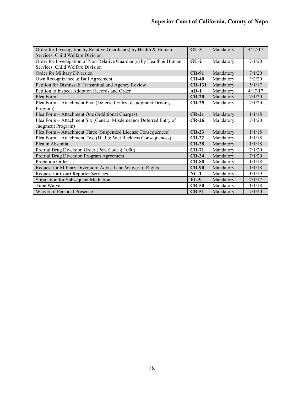| Order for Investigation by Relative Guardian(s) by Health & Human     | $GU-3$        | Mandatory | 4/17/17 |
|-----------------------------------------------------------------------|---------------|-----------|---------|
| Services, Child Welfare Division                                      |               |           |         |
| Order for Investigation of Non-Relative Guardian(s) by Health & Human | $GU-2$        | Mandatory | 7/1/20  |
| Services, Child Welfare Division                                      |               |           |         |
| Order for Military Diversion                                          | $CR-91$       | Mandatory | 7/1/20  |
| Own Recognizance & Bail Agreement                                     | $CR-40$       | Mandatory | 3/2/20  |
| Petition for Dismissal: Transmittal and Agency Review                 | <b>CR-131</b> | Mandatory | 5/1/17  |
| Petition to Inspect Adoption Records and Order                        | $AD-1$        | Mandatory | 4/17/17 |
| Plea Form                                                             | $CR-20$       | Mandatory | 7/1/20  |
| Plea Form - Attachment Five (Deferred Entry of Judgment Driving       | $CR-25$       | Mandatory | 7/1/20  |
| Program)                                                              |               |           |         |
| Plea Form - Attachment One (Additional Charges)                       | $CR-21$       | Mandatory | 1/1/18  |
| Plea Form - Attachment Six (General Misdemeanor Deferred Entry of     | $CR-26$       | Mandatory | 7/1/20  |
| Judgment Program)                                                     |               |           |         |
| Plea Form - Attachment Three (Suspended License Consequences)         | $CR-23$       | Mandatory | 1/1/18  |
| Plea Form - Attachment Two (DUI & Wet Reckless Consequences)          | $CR-22$       | Mandatory | 1/1/18  |
| Plea in Absentia                                                      | $CR-28$       | Mandatory | 1/1/18  |
| Pretrial Drug Diversion Order (Pen. Code § 1000)                      | $CR-71$       | Mandatory | 7/1/20  |
| Pretrial Drug Diversion Program Agreement                             | $CR-24$       | Mandatory | 7/1/20  |
| Probation Order                                                       | $CR-80$       | Mandatory | 1/1/18  |
| Request for Military Diversion; Advisal and Waiver of Rights          | $CR-90$       | Mandatory | 1/1/18  |
| Request for Court Reporter Services                                   | $NC-1$        | Mandatory | 1/1/19  |
| Stipulation for Subsequent Mediation                                  | $FL-5$        | Mandatory | 7/1/17  |
| Time Waiver                                                           | $CR-50$       | Mandatory | 1/1/18  |
| Waiver of Personal Presence                                           | $CR-51$       | Mandatory | 7/1/20  |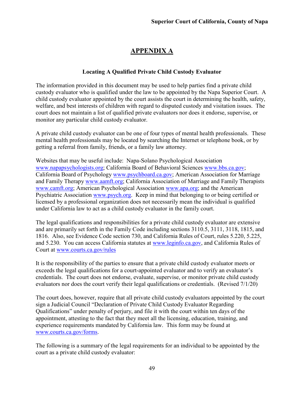## **APPENDIX A**

#### **Locating A Qualified Private Child Custody Evaluator**

The information provided in this document may be used to help parties find a private child custody evaluator who is qualified under the law to be appointed by the Napa Superior Court. A child custody evaluator appointed by the court assists the court in determining the health, safety, welfare, and best interests of children with regard to disputed custody and visitation issues. The court does not maintain a list of qualified private evaluators nor does it endorse, supervise, or monitor any particular child custody evaluator.

A private child custody evaluator can be one of four types of mental health professionals. These mental health professionals may be located by searching the Internet or telephone book, or by getting a referral from family, friends, or a family law attorney.

Websites that may be useful include: Napa-Solano Psychological Association [www.napapsychologists.org;](http://www.napapsychologists.org/) California Board of Behavioral Sciences [www.bbs.ca.gov;](http://www.bbs.ca.gov/) California Board of Psychology [www.psychboard.ca.gov;](http://www.psychboard.ca.gov/) American Association for Marriage and Family Therapy [www.aamft.org;](http://www.aamft.org/) California Association of Marriage and Family Therapists [www.camft.org;](http://www.camft.org/) American Psychological Association [www.apa.org;](http://www.apa.org/) and the American Psychiatric Association [www.psych.org.](http://www.psych.org/) Keep in mind that belonging to or being certified or licensed by a professional organization does not necessarily mean the individual is qualified under California law to act as a child custody evaluator in the family court.

The legal qualifications and responsibilities for a private child custody evaluator are extensive and are primarily set forth in the Family Code including sections 3110.5, 3111, 3118, 1815, and 1816. Also, see Evidence Code section 730, and California Rules of Court, rules 5.220, 5.225, and 5.230. You can access California statutes at [www.leginfo.ca.gov,](http://www.leginfo.ca.gov/) and California Rules of Court at [www.courts.ca.gov/rules](http://www.courts.ca.gov/rules) 

It is the responsibility of the parties to ensure that a private child custody evaluator meets or exceeds the legal qualifications for a court-appointed evaluator and to verify an evaluator's credentials. The court does not endorse, evaluate, supervise, or monitor private child custody evaluators nor does the court verify their legal qualifications or credentials. (Revised 7/1/20)

The court does, however, require that all private child custody evaluators appointed by the court sign a Judicial Council "Declaration of Private Child Custody Evaluator Regarding Qualifications" under penalty of perjury, and file it with the court within ten days of the appointment, attesting to the fact that they meet all the licensing, education, training, and experience requirements mandated by California law. This form may be found at [www.courts.ca.gov/forms.](http://www.courts.ca.gov/forms)

The following is a summary of the legal requirements for an individual to be appointed by the court as a private child custody evaluator: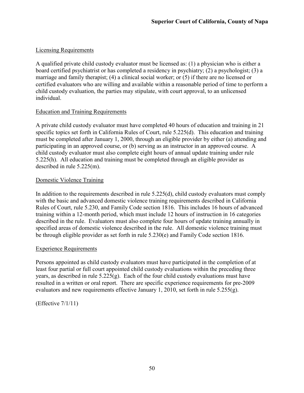## Licensing Requirements

A qualified private child custody evaluator must be licensed as: (1) a physician who is either a board certified psychiatrist or has completed a residency in psychiatry; (2) a psychologist; (3) a marriage and family therapist; (4) a clinical social worker; or (5) if there are no licensed or certified evaluators who are willing and available within a reasonable period of time to perform a child custody evaluation, the parties may stipulate, with court approval, to an unlicensed individual.

#### Education and Training Requirements

A private child custody evaluator must have completed 40 hours of education and training in 21 specific topics set forth in California Rules of Court, rule 5.225(d). This education and training must be completed after January 1, 2000, through an eligible provider by either (a) attending and participating in an approved course, or (b) serving as an instructor in an approved course. A child custody evaluator must also complete eight hours of annual update training under rule 5.225(h). All education and training must be completed through an eligible provider as described in rule 5.225(m).

## Domestic Violence Training

In addition to the requirements described in rule 5.225(d), child custody evaluators must comply with the basic and advanced domestic violence training requirements described in California Rules of Court, rule 5.230, and Family Code section 1816. This includes 16 hours of advanced training within a 12-month period, which must include 12 hours of instruction in 16 categories described in the rule. Evaluators must also complete four hours of update training annually in specified areas of domestic violence described in the rule. All domestic violence training must be through eligible provider as set forth in rule 5.230(e) and Family Code section 1816.

#### Experience Requirements

Persons appointed as child custody evaluators must have participated in the completion of at least four partial or full court appointed child custody evaluations within the preceding three years, as described in rule  $5.225(g)$ . Each of the four child custody evaluations must have resulted in a written or oral report. There are specific experience requirements for pre-2009 evaluators and new requirements effective January 1, 2010, set forth in rule  $5.255(g)$ .

(Effective 7/1/11)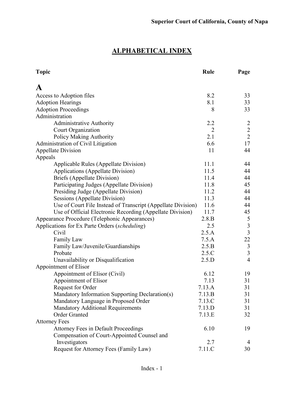## **ALPHABETICAL INDEX**

| <b>Topic</b>                                                 | Rule   | Page           |
|--------------------------------------------------------------|--------|----------------|
| A                                                            |        |                |
| Access to Adoption files                                     | 8.2    | 33             |
| <b>Adoption Hearings</b>                                     | 8.1    | 33             |
| <b>Adoption Proceedings</b>                                  | 8      | 33             |
| Administration                                               |        |                |
| Administrative Authority                                     | 2.2    | $\overline{2}$ |
| Court Organization                                           | 2      | $\overline{2}$ |
| <b>Policy Making Authority</b>                               | 2.1    | $\overline{2}$ |
| Administration of Civil Litigation                           | 6.6    | 17             |
| <b>Appellate Division</b>                                    | 11     | 44             |
| Appeals                                                      |        |                |
| Applicable Rules (Appellate Division)                        | 11.1   | 44             |
| <b>Applications (Appellate Division)</b>                     | 11.5   | 44             |
| Briefs (Appellate Division)                                  | 11.4   | 44             |
| Participating Judges (Appellate Division)                    | 11.8   | 45             |
| Presiding Judge (Appellate Division)                         | 11.2   | 44             |
| Sessions (Appellate Division)                                | 11.3   | 44             |
| Use of Court File Instead of Transcript (Appellate Division) | 11.6   | 44             |
| Use of Official Electronic Recording (Appellate Division)    | 11.7   | 45             |
| Appearance Procedure (Telephonic Appearances)                | 2.8.B  | 5              |
| Applications for Ex Parte Orders (scheduling)                | 2.5    | $\mathfrak{Z}$ |
| Civil                                                        | 2.5.A  | $\overline{3}$ |
| Family Law                                                   | 7.5.A  | 22             |
| Family Law/Juvenile/Guardianships                            | 2.5.B  | $\mathfrak{Z}$ |
| Probate                                                      | 2.5.C  | $\overline{3}$ |
| Unavailability or Disqualification                           | 2.5.D  | $\overline{4}$ |
| Appointment of Elisor                                        |        |                |
| Appointment of Elisor (Civil)                                | 6.12   | 19             |
| Appointment of Elisor                                        | 7.13   | 31             |
| Request for Order                                            | 7.13.A | 31             |
| Mandatory Information Supporting Declaration(s)              | 7.13.B | 31             |
| Mandatory Language in Proposed Order                         | 7.13.C | 31             |
| <b>Mandatory Additional Requirements</b>                     | 7.13.D | 31             |
| <b>Order Granted</b>                                         | 7.13.E | 32             |
| <b>Attorney Fees</b>                                         |        |                |
| <b>Attorney Fees in Default Proceedings</b>                  | 6.10   | 19             |
| Compensation of Court-Appointed Counsel and                  |        |                |
| Investigators                                                | 2.7    | 4              |
| Request for Attorney Fees (Family Law)                       | 7.11.C | 30             |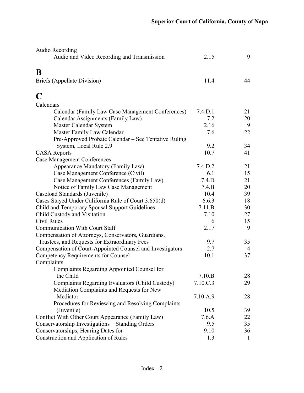| Audio Recording                                           |          |              |
|-----------------------------------------------------------|----------|--------------|
| Audio and Video Recording and Transmission                | 2.15     | 9            |
| B                                                         |          |              |
| Briefs (Appellate Division)                               | 11.4     | 44           |
|                                                           |          |              |
| C                                                         |          |              |
| Calendars                                                 |          |              |
| Calendar (Family Law Case Management Conferences)         | 7.4.D.1  | 21           |
| Calendar Assignments (Family Law)                         | 7.2      | 20           |
| Master Calendar System                                    | 2.16     | 9            |
| Master Family Law Calendar                                | 7.6      | 22           |
| Pre-Approved Probate Calendar – See Tentative Ruling      |          |              |
| System, Local Rule 2.9                                    | 9.2      | 34           |
| <b>CASA Reports</b>                                       | 10.7     | 41           |
| <b>Case Management Conferences</b>                        |          |              |
| Appearance Mandatory (Family Law)                         | 7.4.D.2  | 21           |
| Case Management Conference (Civil)                        | 6.1      | 15           |
| Case Management Conferences (Family Law)                  | 7.4.D    | 21           |
| Notice of Family Law Case Management                      | 7.4.B    | 20           |
| Caseload Standards (Juvenile)                             | 10.4     | 39           |
| Cases Stayed Under California Rule of Court 3.650(d)      | 6.6.3    | 18           |
| Child and Temporary Spousal Support Guidelines            | 7.11.B   | 30           |
| Child Custody and Visitation                              | 7.10     | 27           |
| Civil Rules                                               | 6        | 15           |
| <b>Communication With Court Staff</b>                     | 2.17     | 9            |
| Compensation of Attorneys, Conservators, Guardians,       |          |              |
| Trustees, and Requests for Extraordinary Fees             | 9.7      | 35           |
| Compensation of Court-Appointed Counsel and Investigators | 2.7      | 4            |
| <b>Competency Requirements for Counsel</b>                | 10.1     | 37           |
| Complaints                                                |          |              |
| <b>Complaints Regarding Appointed Counsel for</b>         |          |              |
| the Child                                                 | 7.10.B   | 28           |
| Complaints Regarding Evaluators (Child Custody)           | 7.10.C.3 | 29           |
| Mediation Complaints and Requests for New                 |          |              |
| Mediator                                                  | 7.10.A.9 | 28           |
| Procedures for Reviewing and Resolving Complaints         |          |              |
| (Juvenile)                                                | 10.5     | 39           |
| Conflict With Other Court Appearance (Family Law)         | 7.6.A    | 22           |
| Conservatorship Investigations - Standing Orders          | 9.5      | 35           |
| Conservatorships, Hearing Dates for                       | 9.10     | 36           |
| Construction and Application of Rules                     | 1.3      | $\mathbf{1}$ |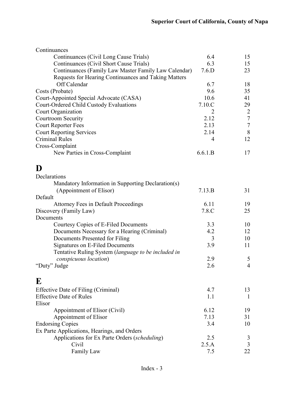| Continuances                                         |         |                     |
|------------------------------------------------------|---------|---------------------|
| Continuances (Civil Long Cause Trials)               | 6.4     | 15                  |
| Continuances (Civil Short Cause Trials)              | 6.3     | 15                  |
| Continuances (Family Law Master Family Law Calendar) | 7.6.D   | 23                  |
| Requests for Hearing Continuances and Taking Matters |         |                     |
| Off Calendar                                         | 6.7     | 18                  |
| Costs (Probate)                                      | 9.6     | 35                  |
| Court-Appointed Special Advocate (CASA)              | 10.6    | 41                  |
| Court-Ordered Child Custody Evaluations              | 7.10.C  | 29                  |
| Court Organization                                   | 2       | 2                   |
| Courtroom Security                                   | 2.12    | $\tau$              |
| <b>Court Reporter Fees</b>                           | 2.13    | $\overline{7}$      |
| <b>Court Reporting Services</b>                      | 2.14    | 8                   |
| <b>Criminal Rules</b>                                | 4       | 12                  |
| Cross-Complaint                                      |         |                     |
| New Parties in Cross-Complaint                       | 6.6.1.B | 17                  |
| D                                                    |         |                     |
| Declarations                                         |         |                     |
| Mandatory Information in Supporting Declaration(s)   |         |                     |
| (Appointment of Elisor)                              | 7.13.B  | 31                  |
| Default                                              |         |                     |
| <b>Attorney Fees in Default Proceedings</b>          | 6.11    | 19                  |
| Discovery (Family Law)                               | 7.8.C   | 25                  |
| Documents                                            |         |                     |
| Courtesy Copies of E-Filed Documents                 | 3.3     | 10                  |
| Documents Necessary for a Hearing (Criminal)         | 4.2     | 12                  |
| Documents Presented for Filing                       | 3       | 10                  |
| <b>Signatures on E-Filed Documents</b>               | 3.9     | 11                  |
|                                                      |         |                     |
| Tentative Ruling System (language to be included in  | 2.9     |                     |
| conspicuous location)                                | 2.6     | 5<br>$\overline{4}$ |
| "Duty" Judge                                         |         |                     |
| ${\bf E}$                                            |         |                     |
| Effective Date of Filing (Criminal)                  | 4.7     | 13                  |
| <b>Effective Date of Rules</b>                       | 1.1     | $\mathbf{1}$        |
| Elisor                                               |         |                     |
| Appointment of Elisor (Civil)                        | 6.12    | 19                  |
| Appointment of Elisor                                | 7.13    | 31                  |
| <b>Endorsing Copies</b>                              | 3.4     | 10                  |
| Ex Parte Applications, Hearings, and Orders          |         |                     |
| Applications for Ex Parte Orders (scheduling)        | 2.5     | 3                   |
| Civil                                                | 2.5.A   | 3                   |
| Family Law                                           | 7.5     | 22                  |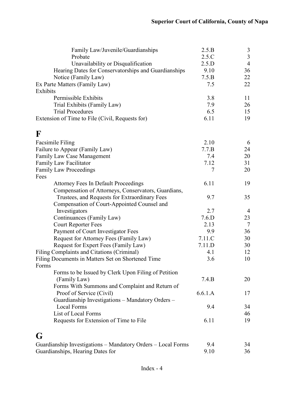| Family Law/Juvenile/Guardianships                            | 2.5.B   | $\mathfrak{Z}$ |
|--------------------------------------------------------------|---------|----------------|
| Probate                                                      | 2.5.C   | $\mathfrak{Z}$ |
| Unavailability or Disqualification                           | 2.5.D   | $\overline{4}$ |
| Hearing Dates for Conservatorships and Guardianships         | 9.10    | 36             |
| Notice (Family Law)                                          | 7.5.B   | 22             |
| Ex Parte Matters (Family Law)                                | 7.5     | 22             |
| Exhibits                                                     |         |                |
| Permissible Exhibits                                         | 3.8     | 11             |
| Trial Exhibits (Family Law)                                  | 7.9     | 26             |
| <b>Trial Procedures</b>                                      | 6.5     | 15             |
| Extension of Time to File (Civil, Requests for)              | 6.11    | 19             |
| $\mathbf F$                                                  |         |                |
| Facsimile Filing                                             | 2.10    | 6              |
| Failure to Appear (Family Law)                               | 7.7.B   | 24             |
| Family Law Case Management                                   | 7.4     | 20             |
| Family Law Facilitator                                       | 7.12    | 31             |
| <b>Family Law Proceedings</b>                                | $\tau$  | 20             |
| Fees                                                         |         |                |
| <b>Attorney Fees In Default Proceedings</b>                  | 6.11    | 19             |
| Compensation of Attorneys, Conservators, Guardians,          |         |                |
| Trustees, and Requests for Extraordinary Fees                | 9.7     | 35             |
| Compensation of Court-Appointed Counsel and                  |         |                |
| Investigators                                                | 2.7     | $\overline{4}$ |
| Continuances (Family Law)                                    | 7.6.D   | 23             |
| <b>Court Reporter Fees</b>                                   | 2.13    | $\tau$         |
| Payment of Court Investigator Fees                           | 9.9     | 36             |
| Request for Attorney Fees (Family Law)                       | 7.11.C  | 30             |
| Request for Expert Fees (Family Law)                         | 7.11.D  | 30             |
| Filing Complaints and Citations (Criminal)                   | 4.1     | 12             |
| Filing Documents in Matters Set on Shortened Time            | 3.6     | 10             |
| Forms                                                        |         |                |
| Forms to be Issued by Clerk Upon Filing of Petition          |         |                |
| (Family Law)                                                 | 7.4.B   | 20             |
| Forms With Summons and Complaint and Return of               |         |                |
| Proof of Service (Civil)                                     | 6.6.1.A | 17             |
| Guardianship Investigations - Mandatory Orders -             |         |                |
| <b>Local Forms</b>                                           | 9.4     | 34             |
| List of Local Forms                                          |         | 46             |
| Requests for Extension of Time to File                       | 6.11    | 19             |
| G                                                            |         |                |
| Guardianship Investigations - Mandatory Orders - Local Forms | 9.4     | 34             |
| Guardianships, Hearing Dates for                             | 9.10    | 36             |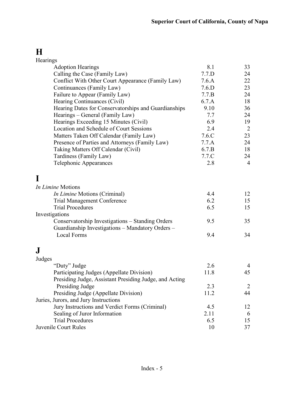## **H**

| Hearings                                               |       |                |
|--------------------------------------------------------|-------|----------------|
| <b>Adoption Hearings</b>                               | 8.1   | 33             |
| Calling the Case (Family Law)                          | 7.7.D | 24             |
| Conflict With Other Court Appearance (Family Law)      | 7.6.A | 22             |
| Continuances (Family Law)                              | 7.6.D | 23             |
| Failure to Appear (Family Law)                         | 7.7.B | 24             |
| Hearing Continuances (Civil)                           | 6.7.A | 18             |
| Hearing Dates for Conservatorships and Guardianships   | 9.10  | 36             |
| Hearings – General (Family Law)                        | 7.7   | 24             |
| Hearings Exceeding 15 Minutes (Civil)                  | 6.9   | 19             |
| Location and Schedule of Court Sessions                | 2.4   | 2              |
| Matters Taken Off Calendar (Family Law)                | 7.6.C | 23             |
| Presence of Parties and Attorneys (Family Law)         | 7.7.A | 24             |
| Taking Matters Off Calendar (Civil)                    | 6.7.B | 18             |
| Tardiness (Family Law)                                 | 7.7.C | 24             |
| Telephonic Appearances                                 | 2.8   | $\overline{4}$ |
|                                                        |       |                |
| In Limine Motions                                      |       |                |
| <i>In Limine</i> Motions (Criminal)                    | 4.4   | 12             |
| <b>Trial Management Conference</b>                     | 6.2   | 15             |
| <b>Trial Procedures</b>                                | 6.5   | 15             |
| Investigations                                         |       |                |
| Conservatorship Investigations - Standing Orders       | 9.5   | 35             |
| Guardianship Investigations - Mandatory Orders -       |       |                |
| <b>Local Forms</b>                                     | 9.4   | 34             |
|                                                        |       |                |
| J                                                      |       |                |
| Judges                                                 |       |                |
| "Duty" Judge                                           | 2.6   | 4              |
| Participating Judges (Appellate Division)              | 11.8  | 45             |
| Presiding Judge, Assistant Presiding Judge, and Acting |       |                |
| Presiding Judge                                        | 2.3   | 2              |
| Presiding Judge (Appellate Division)                   | 11.2  | 44             |
| Juries, Jurors, and Jury Instructions                  |       |                |
| Jury Instructions and Verdict Forms (Criminal)         | 4.5   | 12             |
| Sealing of Juror Information                           | 2.11  | 6              |
| <b>Trial Procedures</b>                                | 6.5   | 15             |
| Juvenile Court Rules                                   | 10    | 37             |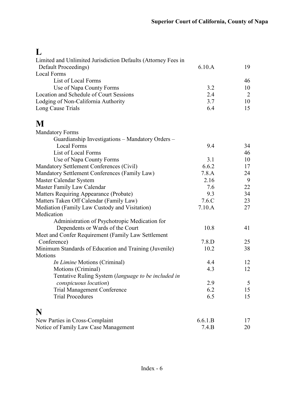## **L**

| Limited and Unlimited Jurisdiction Defaults (Attorney Fees in |          |                |
|---------------------------------------------------------------|----------|----------------|
| Default Proceedings)                                          | 6.10.A   | 19             |
| <b>Local Forms</b>                                            |          |                |
| List of Local Forms                                           |          | 46             |
| Use of Napa County Forms                                      | 3.2      | 10             |
| Location and Schedule of Court Sessions                       | 2.4      | $\overline{2}$ |
| Lodging of Non-California Authority                           | 3.7      | 10             |
| Long Cause Trials                                             | 6.4      | 15             |
| M                                                             |          |                |
| <b>Mandatory Forms</b>                                        |          |                |
| Guardianship Investigations - Mandatory Orders -              |          |                |
| <b>Local Forms</b>                                            | 9.4      | 34             |
| List of Local Forms                                           |          | 46             |
| Use of Napa County Forms                                      | 3.1      | 10             |
| Mandatory Settlement Conferences (Civil)                      | 6.6.2    | 17             |
| Mandatory Settlement Conferences (Family Law)                 | 7.8.A    | 24             |
| Master Calendar System                                        | 2.16     | 9              |
| Master Family Law Calendar                                    | 7.6      | 22             |
| Matters Requiring Appearance (Probate)                        | 9.3      | 34             |
| Matters Taken Off Calendar (Family Law)                       | $7.6$ .C | 23             |
| Mediation (Family Law Custody and Visitation)                 | 7.10.A   | 27             |
| Medication                                                    |          |                |
| Administration of Psychotropic Medication for                 |          |                |
| Dependents or Wards of the Court                              | 10.8     | 41             |
| Meet and Confer Requirement (Family Law Settlement            |          |                |
| Conference)                                                   | 7.8.D    | 25             |
| Minimum Standards of Education and Training (Juvenile)        | 10.2     | 38             |
| Motions                                                       |          |                |
| <i>In Limine</i> Motions (Criminal)                           | 4.4      | 12             |
| Motions (Criminal)                                            | 4.3      | 12             |
| Tentative Ruling System (language to be included in           |          |                |
| conspicuous location)                                         | 2.9      | 5              |
| <b>Trial Management Conference</b>                            | 6.2      | 15             |
| <b>Trial Procedures</b>                                       | 6.5      | 15             |
| N                                                             |          |                |
| New Parties in Cross-Complaint                                | 6.6.1.B  | 17             |
| Notice of Family Law Case Management                          | 7.4.B    | 20             |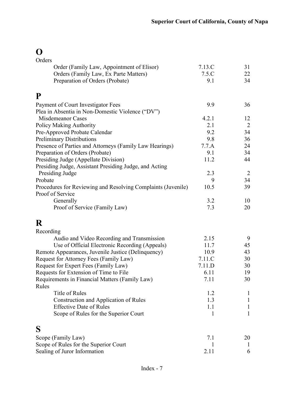# **O**

| Orders                                                       |              |                |
|--------------------------------------------------------------|--------------|----------------|
| Order (Family Law, Appointment of Elisor)                    | 7.13.C       | 31             |
| Orders (Family Law, Ex Parte Matters)                        | 7.5.C        | 22             |
| Preparation of Orders (Probate)                              | 9.1          | 34             |
|                                                              |              |                |
| P                                                            |              |                |
| Payment of Court Investigator Fees                           | 9.9          | 36             |
| Plea in Absentia in Non-Domestic Violence ("DV")             |              |                |
| Misdemeanor Cases                                            | 4.2.1        | 12             |
| <b>Policy Making Authority</b>                               | 2.1          | $\overline{2}$ |
| Pre-Approved Probate Calendar                                | 9.2          | 34             |
| <b>Preliminary Distributions</b>                             | 9.8          | 36             |
| Presence of Parties and Attorneys (Family Law Hearings)      | 7.7.A        | 24             |
| Preparation of Orders (Probate)                              | 9.1          | 34             |
| Presiding Judge (Appellate Division)                         | 11.2         | 44             |
| Presiding Judge, Assistant Presiding Judge, and Acting       |              |                |
| Presiding Judge                                              | 2.3          | $\overline{2}$ |
| Probate                                                      | 9            | 34             |
| Procedures for Reviewing and Resolving Complaints (Juvenile) | 10.5         | 39             |
| Proof of Service                                             |              |                |
| Generally                                                    | 3.2          | 10             |
| Proof of Service (Family Law)                                | 7.3          | 20             |
|                                                              |              |                |
| R                                                            |              |                |
| Recording                                                    |              |                |
| Audio and Video Recording and Transmission                   | 2.15         | 9              |
| Use of Official Electronic Recording (Appeals)               | 11.7         | 45             |
| Remote Appearances, Juvenile Justice (Delinquency)           | 10.9         | 43             |
| Request for Attorney Fees (Family Law)                       | 7.11.C       | 30             |
| Request for Expert Fees (Family Law)                         | 7.11.D       | 30             |
| Requests for Extension of Time to File                       | 6.11         | 19             |
| Requirements in Financial Matters (Family Law)               | 7.11         | 30             |
| Rules                                                        |              |                |
| Title of Rules                                               | 1.2          | 1              |
| Construction and Application of Rules                        | 1.3          | I              |
| <b>Effective Date of Rules</b>                               | 1.1          |                |
| Scope of Rules for the Superior Court                        | 1            | 1              |
|                                                              |              |                |
| S                                                            |              |                |
| Scope (Family Law)                                           | 7.1          | 20             |
| Scope of Rules for the Superior Court                        | $\mathbf{I}$ | 1              |
| Sealing of Juror Information                                 | 2.11         | 6              |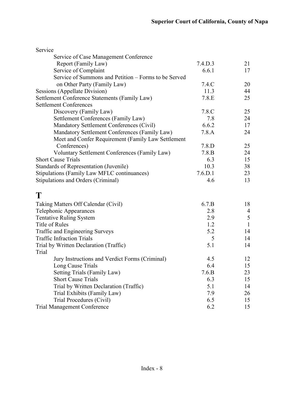| Service of Case Management Conference<br>Report (Family Law)<br>7.4.D.3<br>21<br>Service of Complaint<br>6.6.1<br>17<br>Service of Summons and Petition – Forms to be Served<br>on Other Party (Family Law)<br>7.4.C<br>20<br><b>Sessions (Appellate Division)</b><br>11.3<br>44<br>Settlement Conference Statements (Family Law)<br>7.8.E<br>25<br><b>Settlement Conferences</b><br>Discovery (Family Law)<br>7.8.C<br>25<br>7.8<br>Settlement Conferences (Family Law)<br>24<br>Mandatory Settlement Conferences (Civil)<br>6.6.2<br>17<br>Mandatory Settlement Conferences (Family Law)<br>7.8.A<br>24<br>Meet and Confer Requirement (Family Law Settlement<br>Conferences)<br>7.8.D<br>25<br>Voluntary Settlement Conferences (Family Law)<br>7.8.B<br>24<br><b>Short Cause Trials</b><br>6.3<br>15<br>Standards of Representation (Juvenile)<br>10.3<br>38<br>Stipulations (Family Law MFLC continuances)<br>7.6. D.1<br>23<br>Stipulations and Orders (Criminal)<br>4.6<br>13<br>T<br>6.7.B<br>18<br>Taking Matters Off Calendar (Civil)<br>Telephonic Appearances<br>2.8<br>4<br>5<br><b>Tentative Ruling System</b><br>2.9<br>Title of Rules<br>$\mathbf{1}$<br>1.2<br>Traffic and Engineering Surveys<br>5.2<br>14<br><b>Traffic Infraction Trials</b><br>5<br>14<br>Trial by Written Declaration (Traffic)<br>5.1<br>14<br>Trial<br>4.5<br>Jury Instructions and Verdict Forms (Criminal)<br>12<br>15<br>Long Cause Trials<br>6.4<br>Setting Trials (Family Law)<br>7.6.B<br>23<br><b>Short Cause Trials</b><br>6.3<br>15<br>Trial by Written Declaration (Traffic)<br>5.1<br>14<br>Trial Exhibits (Family Law)<br>7.9<br>26<br>Trial Procedures (Civil)<br>6.5<br>15<br>6.2<br><b>Trial Management Conference</b><br>15 | Service |  |
|-------------------------------------------------------------------------------------------------------------------------------------------------------------------------------------------------------------------------------------------------------------------------------------------------------------------------------------------------------------------------------------------------------------------------------------------------------------------------------------------------------------------------------------------------------------------------------------------------------------------------------------------------------------------------------------------------------------------------------------------------------------------------------------------------------------------------------------------------------------------------------------------------------------------------------------------------------------------------------------------------------------------------------------------------------------------------------------------------------------------------------------------------------------------------------------------------------------------------------------------------------------------------------------------------------------------------------------------------------------------------------------------------------------------------------------------------------------------------------------------------------------------------------------------------------------------------------------------------------------------------------------------------------------------------------------------------------------------------------------|---------|--|
|                                                                                                                                                                                                                                                                                                                                                                                                                                                                                                                                                                                                                                                                                                                                                                                                                                                                                                                                                                                                                                                                                                                                                                                                                                                                                                                                                                                                                                                                                                                                                                                                                                                                                                                                     |         |  |
|                                                                                                                                                                                                                                                                                                                                                                                                                                                                                                                                                                                                                                                                                                                                                                                                                                                                                                                                                                                                                                                                                                                                                                                                                                                                                                                                                                                                                                                                                                                                                                                                                                                                                                                                     |         |  |
|                                                                                                                                                                                                                                                                                                                                                                                                                                                                                                                                                                                                                                                                                                                                                                                                                                                                                                                                                                                                                                                                                                                                                                                                                                                                                                                                                                                                                                                                                                                                                                                                                                                                                                                                     |         |  |
|                                                                                                                                                                                                                                                                                                                                                                                                                                                                                                                                                                                                                                                                                                                                                                                                                                                                                                                                                                                                                                                                                                                                                                                                                                                                                                                                                                                                                                                                                                                                                                                                                                                                                                                                     |         |  |
|                                                                                                                                                                                                                                                                                                                                                                                                                                                                                                                                                                                                                                                                                                                                                                                                                                                                                                                                                                                                                                                                                                                                                                                                                                                                                                                                                                                                                                                                                                                                                                                                                                                                                                                                     |         |  |
|                                                                                                                                                                                                                                                                                                                                                                                                                                                                                                                                                                                                                                                                                                                                                                                                                                                                                                                                                                                                                                                                                                                                                                                                                                                                                                                                                                                                                                                                                                                                                                                                                                                                                                                                     |         |  |
|                                                                                                                                                                                                                                                                                                                                                                                                                                                                                                                                                                                                                                                                                                                                                                                                                                                                                                                                                                                                                                                                                                                                                                                                                                                                                                                                                                                                                                                                                                                                                                                                                                                                                                                                     |         |  |
|                                                                                                                                                                                                                                                                                                                                                                                                                                                                                                                                                                                                                                                                                                                                                                                                                                                                                                                                                                                                                                                                                                                                                                                                                                                                                                                                                                                                                                                                                                                                                                                                                                                                                                                                     |         |  |
|                                                                                                                                                                                                                                                                                                                                                                                                                                                                                                                                                                                                                                                                                                                                                                                                                                                                                                                                                                                                                                                                                                                                                                                                                                                                                                                                                                                                                                                                                                                                                                                                                                                                                                                                     |         |  |
|                                                                                                                                                                                                                                                                                                                                                                                                                                                                                                                                                                                                                                                                                                                                                                                                                                                                                                                                                                                                                                                                                                                                                                                                                                                                                                                                                                                                                                                                                                                                                                                                                                                                                                                                     |         |  |
|                                                                                                                                                                                                                                                                                                                                                                                                                                                                                                                                                                                                                                                                                                                                                                                                                                                                                                                                                                                                                                                                                                                                                                                                                                                                                                                                                                                                                                                                                                                                                                                                                                                                                                                                     |         |  |
|                                                                                                                                                                                                                                                                                                                                                                                                                                                                                                                                                                                                                                                                                                                                                                                                                                                                                                                                                                                                                                                                                                                                                                                                                                                                                                                                                                                                                                                                                                                                                                                                                                                                                                                                     |         |  |
|                                                                                                                                                                                                                                                                                                                                                                                                                                                                                                                                                                                                                                                                                                                                                                                                                                                                                                                                                                                                                                                                                                                                                                                                                                                                                                                                                                                                                                                                                                                                                                                                                                                                                                                                     |         |  |
|                                                                                                                                                                                                                                                                                                                                                                                                                                                                                                                                                                                                                                                                                                                                                                                                                                                                                                                                                                                                                                                                                                                                                                                                                                                                                                                                                                                                                                                                                                                                                                                                                                                                                                                                     |         |  |
|                                                                                                                                                                                                                                                                                                                                                                                                                                                                                                                                                                                                                                                                                                                                                                                                                                                                                                                                                                                                                                                                                                                                                                                                                                                                                                                                                                                                                                                                                                                                                                                                                                                                                                                                     |         |  |
|                                                                                                                                                                                                                                                                                                                                                                                                                                                                                                                                                                                                                                                                                                                                                                                                                                                                                                                                                                                                                                                                                                                                                                                                                                                                                                                                                                                                                                                                                                                                                                                                                                                                                                                                     |         |  |
|                                                                                                                                                                                                                                                                                                                                                                                                                                                                                                                                                                                                                                                                                                                                                                                                                                                                                                                                                                                                                                                                                                                                                                                                                                                                                                                                                                                                                                                                                                                                                                                                                                                                                                                                     |         |  |
|                                                                                                                                                                                                                                                                                                                                                                                                                                                                                                                                                                                                                                                                                                                                                                                                                                                                                                                                                                                                                                                                                                                                                                                                                                                                                                                                                                                                                                                                                                                                                                                                                                                                                                                                     |         |  |
|                                                                                                                                                                                                                                                                                                                                                                                                                                                                                                                                                                                                                                                                                                                                                                                                                                                                                                                                                                                                                                                                                                                                                                                                                                                                                                                                                                                                                                                                                                                                                                                                                                                                                                                                     |         |  |
|                                                                                                                                                                                                                                                                                                                                                                                                                                                                                                                                                                                                                                                                                                                                                                                                                                                                                                                                                                                                                                                                                                                                                                                                                                                                                                                                                                                                                                                                                                                                                                                                                                                                                                                                     |         |  |
|                                                                                                                                                                                                                                                                                                                                                                                                                                                                                                                                                                                                                                                                                                                                                                                                                                                                                                                                                                                                                                                                                                                                                                                                                                                                                                                                                                                                                                                                                                                                                                                                                                                                                                                                     |         |  |
|                                                                                                                                                                                                                                                                                                                                                                                                                                                                                                                                                                                                                                                                                                                                                                                                                                                                                                                                                                                                                                                                                                                                                                                                                                                                                                                                                                                                                                                                                                                                                                                                                                                                                                                                     |         |  |
|                                                                                                                                                                                                                                                                                                                                                                                                                                                                                                                                                                                                                                                                                                                                                                                                                                                                                                                                                                                                                                                                                                                                                                                                                                                                                                                                                                                                                                                                                                                                                                                                                                                                                                                                     |         |  |
|                                                                                                                                                                                                                                                                                                                                                                                                                                                                                                                                                                                                                                                                                                                                                                                                                                                                                                                                                                                                                                                                                                                                                                                                                                                                                                                                                                                                                                                                                                                                                                                                                                                                                                                                     |         |  |
|                                                                                                                                                                                                                                                                                                                                                                                                                                                                                                                                                                                                                                                                                                                                                                                                                                                                                                                                                                                                                                                                                                                                                                                                                                                                                                                                                                                                                                                                                                                                                                                                                                                                                                                                     |         |  |
|                                                                                                                                                                                                                                                                                                                                                                                                                                                                                                                                                                                                                                                                                                                                                                                                                                                                                                                                                                                                                                                                                                                                                                                                                                                                                                                                                                                                                                                                                                                                                                                                                                                                                                                                     |         |  |
|                                                                                                                                                                                                                                                                                                                                                                                                                                                                                                                                                                                                                                                                                                                                                                                                                                                                                                                                                                                                                                                                                                                                                                                                                                                                                                                                                                                                                                                                                                                                                                                                                                                                                                                                     |         |  |
|                                                                                                                                                                                                                                                                                                                                                                                                                                                                                                                                                                                                                                                                                                                                                                                                                                                                                                                                                                                                                                                                                                                                                                                                                                                                                                                                                                                                                                                                                                                                                                                                                                                                                                                                     |         |  |
|                                                                                                                                                                                                                                                                                                                                                                                                                                                                                                                                                                                                                                                                                                                                                                                                                                                                                                                                                                                                                                                                                                                                                                                                                                                                                                                                                                                                                                                                                                                                                                                                                                                                                                                                     |         |  |
|                                                                                                                                                                                                                                                                                                                                                                                                                                                                                                                                                                                                                                                                                                                                                                                                                                                                                                                                                                                                                                                                                                                                                                                                                                                                                                                                                                                                                                                                                                                                                                                                                                                                                                                                     |         |  |
|                                                                                                                                                                                                                                                                                                                                                                                                                                                                                                                                                                                                                                                                                                                                                                                                                                                                                                                                                                                                                                                                                                                                                                                                                                                                                                                                                                                                                                                                                                                                                                                                                                                                                                                                     |         |  |
|                                                                                                                                                                                                                                                                                                                                                                                                                                                                                                                                                                                                                                                                                                                                                                                                                                                                                                                                                                                                                                                                                                                                                                                                                                                                                                                                                                                                                                                                                                                                                                                                                                                                                                                                     |         |  |
|                                                                                                                                                                                                                                                                                                                                                                                                                                                                                                                                                                                                                                                                                                                                                                                                                                                                                                                                                                                                                                                                                                                                                                                                                                                                                                                                                                                                                                                                                                                                                                                                                                                                                                                                     |         |  |
|                                                                                                                                                                                                                                                                                                                                                                                                                                                                                                                                                                                                                                                                                                                                                                                                                                                                                                                                                                                                                                                                                                                                                                                                                                                                                                                                                                                                                                                                                                                                                                                                                                                                                                                                     |         |  |
|                                                                                                                                                                                                                                                                                                                                                                                                                                                                                                                                                                                                                                                                                                                                                                                                                                                                                                                                                                                                                                                                                                                                                                                                                                                                                                                                                                                                                                                                                                                                                                                                                                                                                                                                     |         |  |
|                                                                                                                                                                                                                                                                                                                                                                                                                                                                                                                                                                                                                                                                                                                                                                                                                                                                                                                                                                                                                                                                                                                                                                                                                                                                                                                                                                                                                                                                                                                                                                                                                                                                                                                                     |         |  |